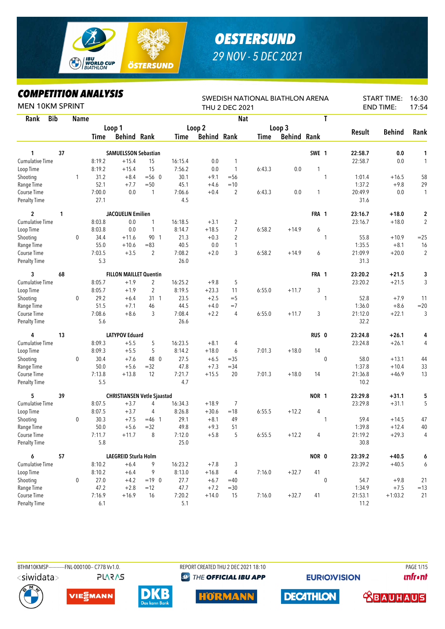

## *OESTERSUND 29 NOV - 5 DEC 2021*

## *COMPETITION ANALYSIS*

| <b>MEN 10KM SPRINT</b>             |    |             | IIFEIIIIVN ANALIƏIƏ |                               |                                    |                |                    | <b>THU 2 DEC 2021</b> | SWEDISH NATIONAL BIATHLON ARENA |                    |                  |              |                 | <b>START TIME:</b><br><b>END TIME:</b> | 16:30<br>17:54 |
|------------------------------------|----|-------------|---------------------|-------------------------------|------------------------------------|----------------|--------------------|-----------------------|---------------------------------|--------------------|------------------|--------------|-----------------|----------------------------------------|----------------|
| <b>Bib</b><br>Rank                 |    | <b>Name</b> |                     |                               |                                    |                |                    | <b>Nat</b>            |                                 |                    |                  | T            |                 |                                        |                |
|                                    |    |             |                     | Loop 1                        |                                    |                | Loop 2             |                       |                                 | Loop 3             |                  |              |                 |                                        |                |
|                                    |    |             | Time                | <b>Behind Rank</b>            |                                    | Time           | <b>Behind Rank</b> |                       | Time                            | <b>Behind Rank</b> |                  |              | Result          | <b>Behind</b>                          | Rank           |
|                                    |    |             |                     |                               |                                    |                |                    |                       |                                 |                    |                  |              |                 |                                        |                |
| 1                                  | 37 |             |                     | <b>SAMUELSSON Sebastian</b>   |                                    |                |                    |                       |                                 |                    | SWE 1            |              | 22:58.7         | 0.0                                    | 1              |
| <b>Cumulative Time</b>             |    |             | 8:19.2              | $+15.4$                       | 15                                 | 16:15.4        | 0.0                | 1                     |                                 |                    |                  |              | 22:58.7         | 0.0                                    | $\mathbf{1}$   |
| Loop Time                          |    |             | 8:19.2              | $+15.4$                       | 15                                 | 7:56.2         | 0.0                | $\mathbf{1}$          | 6:43.3                          | 0.0                | 1                |              |                 |                                        |                |
| Shooting                           |    | 1           | 31.2                | $+8.4$                        | $= 560$                            | 30.1           | $+9.1$             | $=$ 56                |                                 |                    |                  | 1            | 1:01.4          | $+16.5$                                | 58             |
| Range Time                         |    |             | 52.1                | $+7.7$                        | $= 50$                             | 45.1           | $+4.6$             | $=10$                 |                                 |                    |                  |              | 1:37.2          | $+9.8$                                 | 29             |
| Course Time                        |    |             | 7:00.0              | 0.0                           | 1                                  | 7:06.6         | $+0.4$             | $\overline{2}$        | 6:43.3                          | 0.0                | 1                |              | 20:49.9         | 0.0                                    | $\mathbf{1}$   |
| <b>Penalty Time</b>                |    |             | 27.1                |                               |                                    | 4.5            |                    |                       |                                 |                    |                  |              | 31.6            |                                        |                |
| $\overline{2}$                     | 1  |             |                     | <b>JACQUELIN Emilien</b>      |                                    |                |                    |                       |                                 |                    | FRA 1            |              | 23:16.7         | $+18.0$                                | $\mathbf 2$    |
| <b>Cumulative Time</b>             |    |             | 8:03.8              | 0.0                           | $\mathbf{1}$                       | 16:18.5        | $+3.1$             | 2                     |                                 |                    |                  |              | 23:16.7         | $+18.0$                                | $\sqrt{2}$     |
| Loop Time                          |    |             | 8:03.8              | 0.0                           | 1                                  | 8:14.7         | $+18.5$            | $\overline{7}$        | 6:58.2                          | $+14.9$            | 6                |              |                 |                                        |                |
| Shooting                           |    | $\mathbf 0$ | 34.4                | $+11.6$                       | 90 1                               | 21.3           | $+0.3$             | $\overline{c}$        |                                 |                    |                  | 1            | 55.8            | $+10.9$                                | $=25$          |
| Range Time                         |    |             | 55.0                | $+10.6$                       | $= 83$                             | 40.5           | 0.0                | 1                     |                                 |                    |                  |              | 1:35.5          | $+8.1$                                 | 16             |
| Course Time                        |    |             | 7:03.5              | $+3.5$                        | $\overline{2}$                     | 7:08.2         | $+2.0$             | 3                     | 6:58.2                          | $+14.9$            | 6                |              | 21:09.9         | $+20.0$                                | $\overline{2}$ |
| <b>Penalty Time</b>                |    |             | 5.3                 |                               |                                    | 26.0           |                    |                       |                                 |                    |                  |              | 31.3            |                                        |                |
|                                    |    |             |                     |                               |                                    |                |                    |                       |                                 |                    |                  |              |                 |                                        |                |
| 3                                  | 68 |             |                     | <b>FILLON MAILLET Quentin</b> |                                    |                |                    |                       |                                 |                    | FRA 1            |              | 23:20.2         | $+21.5$                                | 3              |
| <b>Cumulative Time</b>             |    |             | 8:05.7              | $+1.9$                        | 2                                  | 16:25.2        | $+9.8$             | 5                     |                                 |                    |                  |              | 23:20.2         | $+21.5$                                | 3              |
| Loop Time                          |    |             | 8:05.7              | $+1.9$                        | $\overline{2}$                     | 8:19.5         | $+23.3$            | 11                    | 6:55.0                          | $+11.7$            | 3                |              |                 |                                        |                |
| Shooting                           |    | 0           | 29.2                | $+6.4$                        | $31 \quad 1$                       | 23.5           | $+2.5$             | $=$ 5                 |                                 |                    |                  | 1            | 52.8            | $+7.9$                                 | 11             |
| Range Time                         |    |             | 51.5                | $+7.1$                        | 46                                 | 44.5           | $+4.0$             | $=7$                  |                                 |                    |                  |              | 1:36.0          | $+8.6$                                 | $=20$          |
| Course Time<br><b>Penalty Time</b> |    |             | 7:08.6<br>5.6       | $+8.6$                        | 3                                  | 7:08.4<br>26.6 | $+2.2$             | 4                     | 6:55.0                          | $+11.7$            | 3                |              | 21:12.0<br>32.2 | $+22.1$                                | 3              |
|                                    |    |             |                     |                               |                                    |                |                    |                       |                                 |                    |                  |              |                 |                                        |                |
| 4                                  | 13 |             |                     | <b>LATYPOV Eduard</b>         |                                    |                |                    |                       |                                 |                    | RUS <sub>0</sub> |              | 23:24.8         | $+26.1$                                | 4              |
| <b>Cumulative Time</b>             |    |             | 8:09.3              | $+5.5$                        | 5                                  | 16:23.5        | $+8.1$             | 4                     |                                 |                    |                  |              | 23:24.8         | $+26.1$                                | 4              |
| Loop Time                          |    |             | 8:09.3              | $+5.5$                        | 5                                  | 8:14.2         | $+18.0$            | 6                     | 7:01.3                          | $+18.0$            | 14               |              |                 |                                        |                |
| Shooting                           |    | 0           | 30.4                | $+7.6$                        | 48 0                               | 27.5           | $+6.5$             | $= 35$                |                                 |                    |                  | $\mathbf{0}$ | 58.0            | $+13.1$                                | 44             |
| Range Time                         |    |             | 50.0                | $+5.6$                        | $=32$                              | 47.8           | $+7.3$             | $=34$                 |                                 |                    |                  |              | 1:37.8          | $+10.4$                                | 33             |
| Course Time                        |    |             | 7:13.8              | $+13.8$                       | 12                                 | 7:21.7         | $+15.5$            | 20                    | 7:01.3                          | $+18.0$            | 14               |              | 21:36.8         | $+46.9$                                | 13             |
| <b>Penalty Time</b>                |    |             | 5.5                 |                               |                                    | 4.7            |                    |                       |                                 |                    |                  |              | 10.2            |                                        |                |
| 5                                  | 39 |             |                     |                               | <b>CHRISTIANSEN Vetle Sjaastad</b> |                |                    |                       |                                 |                    | NOR 1            |              | 23:29.8         | $+31.1$                                | 5              |
| Cumulative Time                    |    |             | 8:07.5              | $+3.7$                        | 4                                  | 16:34.3        | $+18.9$            | 7                     |                                 |                    |                  |              | 23:29.8         | $+31.1$                                | 5              |
| Loop Time                          |    |             | 8:07.5              | $+3.7$                        | 4                                  | 8:26.8         | $+30.6$            | $=18$                 | 6:55.5                          | $+12.2$            | 4                |              |                 |                                        |                |
| Shooting                           |    | 0           | 30.3                | $+7.5$                        | $=46$ 1                            | 29.1           | $+8.1$             | 49                    |                                 |                    |                  | 1            | 59.4            | $+14.5$                                | 47             |
| Range Time                         |    |             | 50.0                | $+5.6$                        | $=32$                              | 49.8           | $+9.3$             | 51                    |                                 |                    |                  |              | 1:39.8          | $+12.4$                                | 40             |
| Course Time                        |    |             | 7:11.7              | $+11.7$                       | 8                                  | 7:12.0         | $+5.8$             | 5                     | 6:55.5                          | $+12.2$            | 4                |              | 21:19.2         | $+29.3$                                | 4              |
| <b>Penalty Time</b>                |    |             | 5.8                 |                               |                                    | 25.0           |                    |                       |                                 |                    |                  |              | 30.8            |                                        |                |
| 6                                  | 57 |             |                     | LAEGREID Sturla Holm          |                                    |                |                    |                       |                                 |                    | NOR 0            |              | 23:39.2         | $+40.5$                                | 6              |
| <b>Cumulative Time</b>             |    |             | 8:10.2              | $+6.4$                        | 9                                  | 16:23.2        | $+7.8$             | 3                     |                                 |                    |                  |              | 23:39.2         | $+40.5$                                | 6              |
| Loop Time                          |    |             | 8:10.2              | $+6.4$                        | 9                                  | 8:13.0         | $+16.8$            | 4                     | 7:16.0                          | $+32.7$            | 41               |              |                 |                                        |                |
| Shooting                           |    | $\pmb{0}$   | 27.0                | $+4.2$                        | $=19$ 0                            | 27.7           | $+6.7$             | $=40$                 |                                 |                    |                  | $\bf{0}$     | 54.7            | $+9.8$                                 | 21             |
| Range Time                         |    |             | 47.2                | $+2.8$                        | $=12$                              | 47.7           | $+7.2$             | $=30$                 |                                 |                    |                  |              | 1:34.9          | $+7.5$                                 | $=13$          |
| Course Time                        |    |             | 7:16.9              | $+16.9$                       | 16                                 | 7:20.2         | $+14.0$            | 15                    | 7:16.0                          | $+32.7$            | 41               |              | 21:53.1         | $+1:03.2$                              | 21             |
| <b>Penalty Time</b>                |    |             | 6.1                 |                               |                                    | $5.1$          |                    |                       |                                 |                    |                  |              | 11.2            |                                        |                |



**PLARAS** 

BTHM10KMSP-----------FNL-000100-- C77B Vv1.0. REPORT CREATED THU 2 DEC 2021 18:10 PAGE 1/15 **@ THE OFFICIAL IBU APP** 

**EURIO)VISION** 

**unfront** 











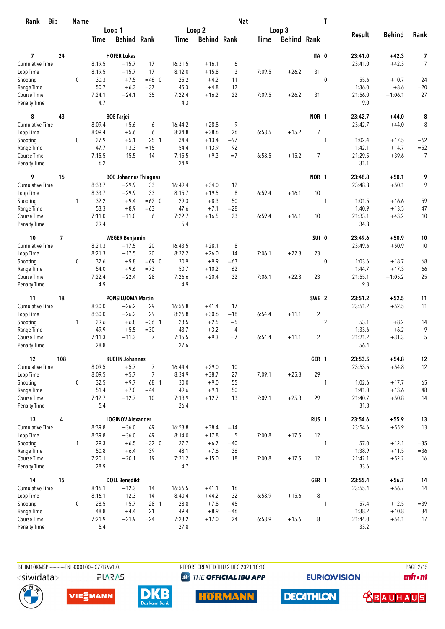| <b>Bib</b><br>Rank                 |                          | <b>Name</b>  |                |                              |                |                |                    | <b>Nat</b> |             |                    | T                |                 |               |                |
|------------------------------------|--------------------------|--------------|----------------|------------------------------|----------------|----------------|--------------------|------------|-------------|--------------------|------------------|-----------------|---------------|----------------|
|                                    |                          |              |                | Loop 1                       |                |                | Loop 2             |            |             | Loop 3             |                  |                 |               |                |
|                                    |                          |              | Time           | <b>Behind Rank</b>           |                | Time           | <b>Behind Rank</b> |            | <b>Time</b> | <b>Behind Rank</b> |                  | <b>Result</b>   | <b>Behind</b> | Rank           |
| 7                                  | 24                       |              |                | <b>HOFER Lukas</b>           |                |                |                    |            |             |                    | ITA 0            | 23:41.0         | $+42.3$       | 7              |
| <b>Cumulative Time</b>             |                          |              | 8:19.5         | $+15.7$                      | 17             | 16:31.5        | $+16.1$            | 6          |             |                    |                  | 23:41.0         | $+42.3$       | $\overline{7}$ |
| Loop Time                          |                          |              | 8:19.5         | $+15.7$                      | 17             | 8:12.0         | $+15.8$            | 3          | 7:09.5      | $+26.2$            | 31               |                 |               |                |
| Shooting                           |                          | $\mathbf 0$  | 30.3           | $+7.5$                       | $=46$ 0        | 25.2           | $+4.2$             | 11         |             |                    | $\mathbf 0$      | 55.6            | $+10.7$       | 24             |
| Range Time                         |                          |              | 50.7           | $+6.3$                       | $= 37$         | 45.3           | $+4.8$             | 12         |             |                    |                  | 1:36.0          | $+8.6$        | $=20$          |
| Course Time                        |                          |              | 7:24.1         | $+24.1$                      | 35             | 7:22.4         | $+16.2$            | 22         | 7:09.5      | $+26.2$            | 31               | 21:56.0         | $+1:06.1$     | 27             |
| <b>Penalty Time</b>                |                          |              | 4.7            |                              |                | 4.3            |                    |            |             |                    |                  | 9.0             |               |                |
| 8                                  | 43                       |              |                | <b>BOE Tarjei</b>            |                |                |                    |            |             |                    | NOR 1            | 23:42.7         | $+44.0$       | 8              |
| Cumulative Time                    |                          |              | 8:09.4         | $+5.6$                       | 6              | 16:44.2        | $+28.8$            | 9          |             |                    |                  | 23:42.7         | $+44.0$       | 8              |
| Loop Time                          |                          |              | 8:09.4         | $+5.6$                       | 6              | 8:34.8         | $+38.6$            | 26         | 6:58.5      | $+15.2$            | $\overline{7}$   |                 |               |                |
| Shooting                           |                          | $\mathbf{0}$ | 27.9           | $+5.1$                       | $25 \t1$       | 34.4           | $+13.4$            | $= 97$     |             |                    | 1                | 1:02.4          | $+17.5$       | $=62$          |
| Range Time                         |                          |              | 47.7           | $+3.3$                       | $=15$          | 54.4           | $+13.9$            | 92         |             |                    |                  | 1:42.1          | $+14.7$       | $=52$          |
| Course Time                        |                          |              | 7:15.5         | $+15.5$                      | 14             | 7:15.5         | $+9.3$             | $=7$       | 6:58.5      | $+15.2$            | $\overline{7}$   | 21:29.5         | $+39.6$       | $\overline{7}$ |
| <b>Penalty Time</b>                |                          |              | 6.2            |                              |                | 24.9           |                    |            |             |                    |                  | 31.1            |               |                |
| 9                                  | 16                       |              |                | <b>BOE Johannes Thingnes</b> |                |                |                    |            |             |                    | NOR 1            | 23:48.8         | $+50.1$       | 9              |
| Cumulative Time                    |                          |              | 8:33.7         | $+29.9$                      | 33             | 16:49.4        | $+34.0$            | 12         |             |                    |                  | 23:48.8         | $+50.1$       | 9              |
| Loop Time                          |                          |              | 8:33.7         | $+29.9$                      | 33             | 8:15.7         | $+19.5$            | 8          | 6:59.4      | $+16.1$            | 10               |                 |               |                |
| Shooting                           |                          | 1            | 32.2           | $+9.4$                       | $=62$ 0        | 29.3           | $+8.3$             | 50         |             |                    | 1                | 1:01.5          | $+16.6$       | 59             |
| Range Time                         |                          |              | 53.3           | $+8.9$                       | $=63$          | 47.6           | $+7.1$             | $= 28$     |             |                    |                  | 1:40.9          | $+13.5$       | 47             |
| Course Time<br><b>Penalty Time</b> |                          |              | 7:11.0<br>29.4 | $+11.0$                      | 6              | 7:22.7<br>5.4  | $+16.5$            | 23         | 6:59.4      | $+16.1$            | 10               | 21:33.1<br>34.8 | $+43.2$       | 10             |
| 10                                 | $\overline{\phantom{a}}$ |              |                | <b>WEGER Benjamin</b>        |                |                |                    |            |             |                    | SUI 0            | 23:49.6         | $+50.9$       | 10             |
| <b>Cumulative Time</b>             |                          |              | 8:21.3         | $+17.5$                      | 20             | 16:43.5        | $+28.1$            | 8          |             |                    |                  | 23:49.6         | $+50.9$       | 10             |
| Loop Time                          |                          |              | 8:21.3         | $+17.5$                      | 20             | 8:22.2         | $+26.0$            | 14         | 7:06.1      | $+22.8$            | 23               |                 |               |                |
| Shooting                           |                          | $\mathbf{0}$ | 32.6           | $+9.8$                       | $=69$ 0        | 30.9           | $+9.9$             | $=63$      |             |                    | $\mathbf{0}$     | 1:03.6          | $+18.7$       | 68             |
| Range Time                         |                          |              | 54.0           | $+9.6$                       | $=73$          | 50.7           | $+10.2$            | 62         |             |                    |                  | 1:44.7          | $+17.3$       | 66             |
| Course Time                        |                          |              | 7:22.4         | $+22.4$                      | 28             | 7:26.6         | $+20.4$            | 32         | 7:06.1      | $+22.8$            | 23               | 21:55.1         | $+1:05.2$     | 25             |
| <b>Penalty Time</b>                |                          |              | 4.9            |                              |                | 4.9            |                    |            |             |                    |                  | 9.8             |               |                |
| 11                                 | 18                       |              |                | <b>PONSILUOMA Martin</b>     |                |                |                    |            |             |                    | SWE 2            | 23:51.2         | $+52.5$       | 11             |
| <b>Cumulative Time</b>             |                          |              | 8:30.0         | $+26.2$                      | 29             | 16:56.8        | $+41.4$            | 17         |             |                    |                  | 23:51.2         | $+52.5$       | 11             |
| Loop Time                          |                          |              | 8:30.0         | $+26.2$                      | 29             | 8:26.8         | $+30.6$            | $=18$      | 6:54.4      | $+11.1$            | $\overline{2}$   |                 |               |                |
| Shooting                           |                          | 1            | 29.6           | $+6.8$                       | $=36$ 1        | 23.5           | $+2.5$             | $=$ 5      |             |                    | $\overline{2}$   | 53.1            | $+8.2$        | 14             |
| Range Time                         |                          |              | 49.9           | $+5.5$                       | $= 30$         | 43.7           | $+3.2$             | 4          |             |                    |                  | 1:33.6          | $+6.2$        | 9              |
| Course Time                        |                          |              | 7:11.3         | $+11.3$                      | $\overline{7}$ | 7:15.5         | $+9.3$             | $=7$       | 6:54.4      | $+11.1$            | $\overline{2}$   | 21:21.2         | $+31.3$       | 5              |
| <b>Penalty Time</b>                |                          |              | 28.8           |                              |                | 27.6           |                    |            |             |                    |                  | 56.4            |               |                |
| 12                                 | 108                      |              |                | <b>KUEHN Johannes</b>        |                |                |                    |            |             |                    | GER 1            | 23:53.5         | $+54.8$       | $12\,$         |
| Cumulative Time                    |                          |              | 8:09.5         | $+5.7$                       | $\overline{7}$ | 16:44.4        | $+29.0$            | 10         |             |                    |                  | 23:53.5         | $+54.8$       | 12             |
| Loop Time                          |                          |              | 8:09.5         | $+5.7$                       | $\overline{7}$ | 8:34.9         | $+38.7$            | 27         | 7:09.1      | $+25.8$            | 29               |                 |               |                |
| Shooting                           |                          | $\mathbf 0$  | 32.5           | $+9.7$                       | 68 1           | 30.0           | $+9.0$             | 55         |             |                    | 1                | 1:02.6          | $+17.7$       | 65             |
| Range Time                         |                          |              | 51.4           | $+7.0$                       | $=44$          | 49.6           | $+9.1$             | 50         |             |                    |                  | 1:41.0          | $+13.6$       | 48             |
| Course Time<br>Penalty Time        |                          |              | 7:12.7<br>5.4  | $+12.7$                      | 10             | 7:18.9<br>26.4 | $+12.7$            | 13         | 7:09.1      | $+25.8$            | 29               | 21:40.7<br>31.8 | $+50.8$       | 14             |
| 13                                 | 4                        |              |                | <b>LOGINOV Alexander</b>     |                |                |                    |            |             |                    | RUS <sub>1</sub> | 23:54.6         | $+55.9$       | 13             |
| <b>Cumulative Time</b>             |                          |              | 8:39.8         | $+36.0$                      | 49             | 16:53.8        | $+38.4$            | $=14$      |             |                    |                  | 23:54.6         | $+55.9$       | 13             |
| Loop Time                          |                          |              | 8:39.8         | $+36.0$                      | 49             | 8:14.0         | $+17.8$            | 5          | 7:00.8      | $+17.5$            | 12               |                 |               |                |
| Shooting                           |                          | $\mathbf{1}$ | 29.3           | $+6.5$                       | $=32$ 0        | 27.7           | $+6.7$             | $=40$      |             |                    | $\mathbf{1}$     | 57.0            | $+12.1$       | $= 35$         |
| Range Time                         |                          |              | 50.8           | $+6.4$                       | 39             | 48.1           | $+7.6$             | 36         |             |                    |                  | 1:38.9          | $+11.5$       | $= 36$         |
| Course Time                        |                          |              | 7:20.1         | $+20.1$                      | 19             | 7:21.2         | $+15.0$            | 18         | 7:00.8      | $+17.5$            | 12               | 21:42.1         | $+52.2$       | 16             |
| Penalty Time                       |                          |              | 28.9           |                              |                | 4.7            |                    |            |             |                    |                  | 33.6            |               |                |
| 14                                 | 15                       |              |                | <b>DOLL Benedikt</b>         |                |                |                    |            |             |                    | GER 1            | 23:55.4         | $+56.7$       | 14             |
| <b>Cumulative Time</b>             |                          |              | 8:16.1         | $+12.3$                      | 14             | 16:56.5        | $+41.1$            | 16         |             |                    |                  | 23:55.4         | $+56.7$       | 14             |
| Loop Time                          |                          |              | 8:16.1         | $+12.3$                      | 14             | 8:40.4         | $+44.2$            | 32         | 6:58.9      | $+15.6$            | 8                |                 |               |                |
| Shooting                           |                          | 0            | 28.5           | $+5.7$                       | 28 1           | 28.8           | $+7.8$             | 45         |             |                    | 1                | 57.4            | $+12.5$       | $= 39$         |
| Range Time                         |                          |              | 48.8           | $+4.4$                       | 21             | 49.4           | $+8.9$             | $=46$      |             |                    |                  | 1:38.2          | $+10.8$       | 34             |
| Course Time                        |                          |              | 7:21.9         | $+21.9$                      | $= 24$         | 7:23.2         | $+17.0$            | 24         | 6:58.9      | $+15.6$            | 8                | 21:44.0         | $+54.1$       | 17             |
| Penalty Time                       |                          |              | 5.4            |                              |                | 27.8           |                    |            |             |                    |                  | 33.2            |               |                |

BTHM10KMSP------------FNL-000100-- C77B Vv1.0. **PLARAS**  REPORT CREATED THU 2 DEC 2021 18:10 **<sup><sup>3</sup>** THE OFFICIAL IBU APP</sup>

**EURIOVISION** 

**PAGE 2/15** *<u><u>Infront</u>*</u>









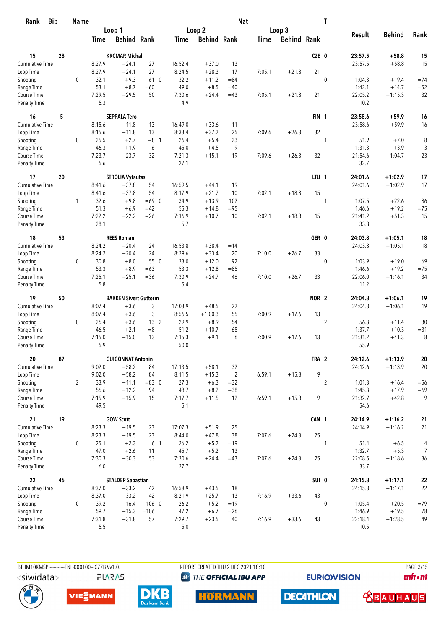| <b>Bib</b><br>Rank                 |    | <b>Name</b>    |                |                              |                 |                |                    | <b>Nat</b>     |             |                    |                  | T              |                   |                    |            |
|------------------------------------|----|----------------|----------------|------------------------------|-----------------|----------------|--------------------|----------------|-------------|--------------------|------------------|----------------|-------------------|--------------------|------------|
|                                    |    |                |                | Loop 1                       |                 |                | Loop 2             |                |             | Loop 3             |                  |                |                   |                    |            |
|                                    |    |                | Time           | <b>Behind Rank</b>           |                 | Time           | <b>Behind Rank</b> |                | <b>Time</b> | <b>Behind Rank</b> |                  |                | <b>Result</b>     | <b>Behind</b>      | Rank       |
| 15                                 | 28 |                |                | <b>KRCMAR Michal</b>         |                 |                |                    |                |             |                    | CZE 0            |                | 23:57.5           | $+58.8$            | 15         |
| <b>Cumulative Time</b>             |    |                | 8:27.9         | $+24.1$                      | 27              | 16:52.4        | $+37.0$            | 13             |             |                    |                  |                | 23:57.5           | $+58.8$            | 15         |
| Loop Time                          |    |                | 8:27.9         | $+24.1$                      | 27              | 8:24.5         | $+28.3$            | 17             | 7:05.1      | $+21.8$            | 21               |                |                   |                    |            |
| Shooting                           |    | $\mathbf 0$    | 32.1           | $+9.3$                       | 61 0            | 32.2           | $+11.2$            | $= 84$         |             |                    |                  | $\mathbf 0$    | 1:04.3            | $+19.4$            | $=74$      |
| Range Time                         |    |                | 53.1           | $+8.7$                       | $=60$           | 49.0           | $+8.5$             | $=40$          |             |                    |                  |                | 1:42.1            | $+14.7$            | $= 52$     |
| Course Time                        |    |                | 7:29.5         | $+29.5$                      | 50              | 7:30.6         | $+24.4$            | $=43$          | 7:05.1      | $+21.8$            | 21               |                | 22:05.2           | $+1:15.3$          | 32         |
| <b>Penalty Time</b>                |    |                | 5.3            |                              |                 | 4.9            |                    |                |             |                    |                  |                | 10.2              |                    |            |
| 16                                 | 5  |                |                | <b>SEPPALA Tero</b>          |                 |                |                    |                |             |                    | FIN <sub>1</sub> |                | 23:58.6           | +59.9              | 16         |
| <b>Cumulative Time</b>             |    |                | 8:15.6         | $+11.8$                      | 13              | 16:49.0        | $+33.6$            | 11             |             |                    |                  |                | 23:58.6           | $+59.9$            | 16         |
| Loop Time                          |    |                | 8:15.6         | $+11.8$                      | 13              | 8:33.4         | $+37.2$            | 25             | 7:09.6      | $+26.3$            | 32               |                |                   |                    |            |
| Shooting                           |    | 0              | 25.5           | $+2.7$                       | $=8$ 1          | 26.4           | $+5.4$             | 23             |             |                    |                  | 1              | 51.9              | $+7.0$             | 8          |
| Range Time                         |    |                | 46.3           | $+1.9$                       | 6               | 45.0           | $+4.5$             | 9              |             |                    |                  |                | 1:31.3            | $+3.9$             | 3          |
| Course Time                        |    |                | 7:23.7         | $+23.7$                      | 32              | 7:21.3         | $+15.1$            | 19             | 7:09.6      | $+26.3$            | 32               |                | 21:54.6           | $+1:04.7$          | 23         |
| <b>Penalty Time</b>                |    |                | 5.6            |                              |                 | 27.1           |                    |                |             |                    |                  |                | 32.7              |                    |            |
| 17                                 | 20 |                |                | <b>STROLIA Vytautas</b>      |                 |                |                    |                |             |                    | LTU <sub>1</sub> |                | 24:01.6           | $+1:02.9$          | 17         |
| <b>Cumulative Time</b>             |    |                | 8:41.6         | $+37.8$                      | 54              | 16:59.5        | $+44.1$            | 19             |             |                    |                  |                | 24:01.6           | $+1:02.9$          | 17         |
| Loop Time                          |    |                | 8:41.6         | $+37.8$                      | 54              | 8:17.9         | $+21.7$            | 10             | 7:02.1      | $+18.8$            | 15               |                |                   |                    |            |
| Shooting                           |    | 1              | 32.6           | $+9.8$                       | $=69$ 0         | 34.9           | $+13.9$            | 102            |             |                    |                  | 1              | 1:07.5            | $+22.6$            | 86         |
| Range Time                         |    |                | 51.3           | $+6.9$                       | $=42$           | 55.3           | $+14.8$            | $= 95$         |             |                    |                  |                | 1:46.6            | $+19.2$            | $=75$      |
| Course Time<br><b>Penalty Time</b> |    |                | 7:22.2<br>28.1 | $+22.2$                      | $=26$           | 7:16.9<br>5.7  | $+10.7$            | 10             | 7:02.1      | $+18.8$            | 15               |                | 21:41.2<br>33.8   | $+51.3$            | 15         |
| 18                                 | 53 |                |                | <b>REES Roman</b>            |                 |                |                    |                |             |                    | GER 0            |                | 24:03.8           | $+1:05.1$          | 18         |
| Cumulative Time                    |    |                | 8:24.2         | $+20.4$                      | 24              | 16:53.8        | $+38.4$            | $=14$          |             |                    |                  |                | 24:03.8           | $+1:05.1$          | 18         |
| Loop Time                          |    |                | 8:24.2         | $+20.4$                      | 24              | 8:29.6         | $+33.4$            | 20             | 7:10.0      | $+26.7$            | 33               |                |                   |                    |            |
| Shooting                           |    | 0              | 30.8           | $+8.0$                       | 55 0            | 33.0           | $+12.0$            | 92             |             |                    |                  | $\mathbf{0}$   | 1:03.9            | $+19.0$            | 69         |
| Range Time                         |    |                | 53.3           | $+8.9$                       | $=63$           | 53.3           | $+12.8$            | $= 85$         |             |                    |                  |                | 1:46.6            | $+19.2$            | $=75$      |
| Course Time                        |    |                | 7:25.1         | $+25.1$                      | $=36$           | 7:30.9         | $+24.7$            | 46             | 7:10.0      | $+26.7$            | 33               |                | 22:06.0           | $+1:16.1$          | 34         |
| <b>Penalty Time</b>                |    |                | 5.8            |                              |                 | 5.4            |                    |                |             |                    |                  |                | 11.2              |                    |            |
| 19                                 | 50 |                |                | <b>BAKKEN Sivert Guttorm</b> |                 |                |                    |                |             |                    | NOR <sub>2</sub> |                | 24:04.8           | $+1:06.1$          | 19         |
| Cumulative Time                    |    |                | 8:07.4         | $+3.6$                       | 3               | 17:03.9        | $+48.5$            | 22             |             |                    |                  |                | 24:04.8           | $+1:06.1$          | 19         |
| Loop Time                          |    |                | 8:07.4         | $+3.6$                       | 3               | 8:56.5         | $+1:00.3$          | 55             | 7:00.9      | $+17.6$            | 13               |                |                   |                    |            |
| Shooting                           |    | 0              | 26.4           | $+3.6$                       | 13 <sup>2</sup> | 29.9           | $+8.9$             | 54             |             |                    |                  | $\overline{2}$ | 56.3              | $+11.4$            | 30         |
| Range Time                         |    |                | 46.5           | $+2.1$                       | $=8$            | 51.2           | $+10.7$            | 68             |             |                    |                  |                | 1:37.7            | $+10.3$            | $= 31$     |
| Course Time                        |    |                | 7:15.0         | $+15.0$                      | 13              | 7:15.3         | $+9.1$             | 6              | 7:00.9      | $+17.6$            | 13               |                | 21:31.2           | $+41.3$            | 8          |
| <b>Penalty Time</b>                |    |                | 5.9            |                              |                 | 50.0           |                    |                |             |                    |                  |                | 55.9              |                    |            |
| 20                                 | 87 |                |                | <b>GUIGONNAT Antonin</b>     |                 |                |                    |                |             |                    | FRA 2            |                | 24:12.6           | $+1:13.9$          | ${\bf 20}$ |
| Cumulative Time                    |    |                | 9:02.0         | $+58.2$                      | 84              | 17:13.5        | $+58.1$            | 32             |             |                    |                  |                | 24:12.6           | $+1:13.9$          | 20         |
| Loop Time                          |    |                | 9:02.0         | $+58.2$                      | 84              | 8:11.5         | $+15.3$            | $\overline{2}$ | 6:59.1      | $+15.8$            | 9                |                |                   |                    |            |
| Shooting                           |    | $\overline{2}$ | 33.9           | $+11.1$                      | $= 83$ 0        | 27.3           | $+6.3$             | $=32$          |             |                    |                  | $\overline{2}$ | 1:01.3            | $+16.4$            | $= 56$     |
| Range Time<br>Course Time          |    |                | 56.6<br>7:15.9 | $+12.2$<br>$+15.9$           | 94<br>15        | 48.7<br>7:17.7 | $+8.2$<br>$+11.5$  | $= 38$<br>12   | 6:59.1      | $+15.8$            | 9                |                | 1:45.3<br>21:32.7 | $+17.9$<br>$+42.8$ | $=69$<br>9 |
| Penalty Time                       |    |                | 49.5           |                              |                 | 5.1            |                    |                |             |                    |                  |                | 54.6              |                    |            |
| 21                                 | 19 |                |                | <b>GOW Scott</b>             |                 |                |                    |                |             |                    | CAN 1            |                | 24:14.9           | $+1:16.2$          | 21         |
| <b>Cumulative Time</b>             |    |                | 8:23.3         | $+19.5$                      | 23              | 17:07.3        | $+51.9$            | 25             |             |                    |                  |                | 24:14.9           | $+1:16.2$          | 21         |
| Loop Time                          |    |                | 8:23.3         | $+19.5$                      | 23              | 8:44.0         | $+47.8$            | 38             | 7:07.6      | $+24.3$            | 25               |                |                   |                    |            |
| Shooting                           |    | 0              | 25.1           | $+2.3$                       | 6 <sub>1</sub>  | 26.2           | $+5.2$             | $=19$          |             |                    |                  | 1              | 51.4              | $+6.5$             | 4          |
| Range Time                         |    |                | 47.0           | $+2.6$                       | 11              | 45.7           | $+5.2$             | 13             |             |                    |                  |                | 1:32.7            | $+5.3$             | 7          |
| Course Time                        |    |                | 7:30.3         | $+30.3$                      | 53              | 7:30.6         | $+24.4$            | $=43$          | 7:07.6      | $+24.3$            | 25               |                | 22:08.5           | $+1:18.6$          | 36         |
| Penalty Time                       |    |                | 6.0            |                              |                 | 27.7           |                    |                |             |                    |                  |                | 33.7              |                    |            |
| 22                                 | 46 |                |                | <b>STALDER Sebastian</b>     |                 |                |                    |                |             |                    | SUI 0            |                | 24:15.8           | $+1:17.1$          | ${\bf 22}$ |
| <b>Cumulative Time</b>             |    |                | 8:37.0         | $+33.2$                      | 42              | 16:58.9        | $+43.5$            | 18             |             |                    |                  |                | 24:15.8           | $+1:17.1$          | 22         |
| Loop Time                          |    |                | 8:37.0         | $+33.2$                      | 42              | 8:21.9         | $+25.7$            | 13             | 7:16.9      | $+33.6$            | 43               |                |                   |                    |            |
| Shooting                           |    | $\mathbf 0$    | 39.2           | $+16.4$                      | 106 0           | 26.2           | $+5.2$             | $=19$          |             |                    |                  | $\mathbf{0}$   | 1:05.4            | $+20.5$            | $=79$      |
| Range Time                         |    |                | 59.7           | $+15.3$                      | $=106$          | 47.2           | $+6.7$             | $=26$          |             |                    |                  |                | 1:46.9            | $+19.5$            | 78         |
| Course Time<br>Penalty Time        |    |                | 7:31.8<br>5.5  | $+31.8$                      | 57              | 7:29.7<br>5.0  | $+23.5$            | 40             | 7:16.9      | $+33.6$            | 43               |                | 22:18.4<br>10.5   | $+1:28.5$          | 49         |
|                                    |    |                |                |                              |                 |                |                    |                |             |                    |                  |                |                   |                    |            |

BTHM10KMSP------------FNL-000100-- C77B Vv1.0. **PLARAS**  REPORT CREATED THU 2 DEC 2021 18:10 **<sup><sup>3</sup>** THE OFFICIAL IBU APP</sup>

**EURIOVISION** 

PAGE 3/15 *<u><u>Infront</u>*</u>









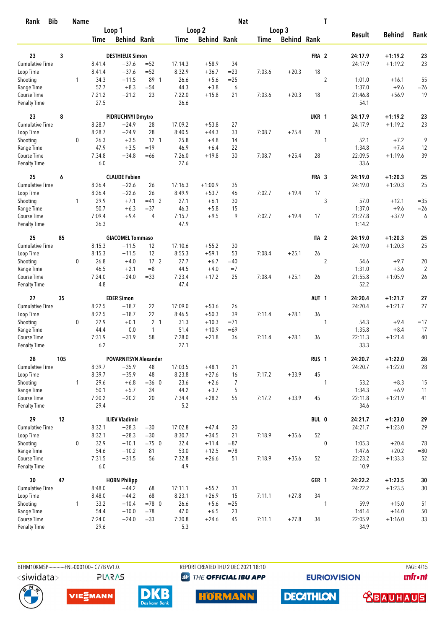| <b>Bib</b><br>Rank                 |     | <b>Name</b>  |                |                              |                 |                |                    | <b>Nat</b> |             |                    |                  | T                        |                   |                |
|------------------------------------|-----|--------------|----------------|------------------------------|-----------------|----------------|--------------------|------------|-------------|--------------------|------------------|--------------------------|-------------------|----------------|
|                                    |     |              |                | Loop 1                       |                 |                | Loop 2             |            |             | Loop 3             |                  |                          |                   |                |
|                                    |     |              | Time           | <b>Behind Rank</b>           |                 | Time           | <b>Behind Rank</b> |            | <b>Time</b> | <b>Behind Rank</b> |                  | <b>Result</b>            | <b>Behind</b>     | Rank           |
| 23                                 | 3   |              |                | <b>DESTHIEUX Simon</b>       |                 |                |                    |            |             |                    | FRA <sub>2</sub> | 24:17.9                  | $+1:19.2$         | 23             |
| <b>Cumulative Time</b>             |     |              | 8:41.4         | $+37.6$                      | $= 52$          | 17:14.3        | $+58.9$            | 34         |             |                    |                  | 24:17.9                  | $+1:19.2$         | 23             |
| Loop Time                          |     |              | 8:41.4         | $+37.6$                      | $=52$           | 8:32.9         | $+36.7$            | $= 23$     | 7:03.6      | $+20.3$            | 18               |                          |                   |                |
| Shooting                           |     | 1            | 34.3           | $+11.5$                      | 89 1            | 26.6           | $+5.6$             | $=25$      |             |                    |                  | $\overline{2}$<br>1:01.0 | $+16.1$           | 55             |
| Range Time                         |     |              | 52.7           | $+8.3$                       | $= 54$          | 44.3           | $+3.8$             | 6          |             |                    |                  | 1:37.0                   | $+9.6$            | $=26$          |
| Course Time                        |     |              | 7:21.2         | $+21.2$                      | 23              | 7:22.0         | $+15.8$            | 21         | 7:03.6      | $+20.3$            | 18               | 21:46.8                  | $+56.9$           | 19             |
| <b>Penalty Time</b>                |     |              | 27.5           |                              |                 | 26.6           |                    |            |             |                    |                  | 54.1                     |                   |                |
| 23                                 | 8   |              |                | PIDRUCHNYI Dmytro            |                 |                |                    |            |             |                    | UKR 1            | 24:17.9                  | $+1:19.2$         | 23             |
| Cumulative Time                    |     |              | 8:28.7         | $+24.9$                      | 28              | 17:09.2        | $+53.8$            | 27         |             |                    |                  | 24:17.9                  | $+1:19.2$         | 23             |
| Loop Time                          |     |              | 8:28.7         | $+24.9$                      | 28              | 8:40.5         | $+44.3$            | 33         | 7:08.7      | $+25.4$            | 28               |                          |                   |                |
| Shooting                           |     | 0            | 26.3           | $+3.5$                       | $12-1$          | 25.8           | $+4.8$             | 14         |             |                    | 1                | 52.1                     | $+7.2$            | 9              |
| Range Time                         |     |              | 47.9           | $+3.5$                       | $=19$           | 46.9           | $+6.4$             | 22         |             |                    |                  | 1:34.8                   | $+7.4$            | 12             |
| Course Time                        |     |              | 7:34.8         | $+34.8$                      | $=66$           | 7:26.0         | $+19.8$            | 30         | 7:08.7      | $+25.4$            | 28               | 22:09.5                  | $+1:19.6$         | 39             |
| Penalty Time                       |     |              | 6.0            |                              |                 | 27.6           |                    |            |             |                    |                  | 33.6                     |                   |                |
| 25                                 | 6   |              |                | <b>CLAUDE Fabien</b>         |                 |                |                    |            |             |                    | FRA 3            | 24:19.0                  | $+1:20.3$         | 25             |
| <b>Cumulative Time</b>             |     |              | 8:26.4         | $+22.6$                      | 26              | 17:16.3        | $+1:00.9$          | 35         |             |                    |                  | 24:19.0                  | $+1:20.3$         | 25             |
| Loop Time                          |     |              | 8:26.4         | $+22.6$                      | 26              | 8:49.9         | $+53.7$            | 46         | 7:02.7      | $+19.4$            | 17               |                          |                   |                |
| Shooting                           |     | 1            | 29.9           | $+7.1$                       | $=41$ 2         | 27.1           | $+6.1$             | 30         |             |                    |                  | 3<br>57.0                | $+12.1$           | $=35$          |
| Range Time                         |     |              | 50.7<br>7:09.4 | $+6.3$<br>$+9.4$             | $= 37$          | 46.3<br>7:15.7 | $+5.8$<br>$+9.5$   | 15<br>9    |             |                    | 17               | 1:37.0                   | $+9.6$<br>$+37.9$ | $=26$          |
| Course Time<br><b>Penalty Time</b> |     |              | 26.3           |                              | $\overline{4}$  | 47.9           |                    |            | 7:02.7      | $+19.4$            |                  | 21:27.8<br>1:14.2        |                   | 6              |
| 25                                 | 85  |              |                | <b>GIACOMEL Tommaso</b>      |                 |                |                    |            |             |                    | ITA <sub>2</sub> | 24:19.0                  | $+1:20.3$         | 25             |
| <b>Cumulative Time</b>             |     |              | 8:15.3         | $+11.5$                      | 12              | 17:10.6        | $+55.2$            | 30         |             |                    |                  | 24:19.0                  | $+1:20.3$         | 25             |
| Loop Time                          |     |              | 8:15.3         | $+11.5$                      | 12              | 8:55.3         | $+59.1$            | 53         | 7:08.4      | $+25.1$            | 26               |                          |                   |                |
| Shooting                           |     | 0            | 26.8           | $+4.0$                       | 17 <sup>2</sup> | 27.7           | $+6.7$             | $=40$      |             |                    |                  | $\overline{2}$<br>54.6   | $+9.7$            | 20             |
| Range Time                         |     |              | 46.5           | $+2.1$                       | $=8$            | 44.5           | $+4.0$             | $=7$       |             |                    |                  | 1:31.0                   | $+3.6$            | $\overline{2}$ |
| Course Time                        |     |              | 7:24.0         | $+24.0$                      | $= 33$          | 7:23.4         | $+17.2$            | 25         | 7:08.4      | $+25.1$            | 26               | 21:55.8                  | $+1:05.9$         | 26             |
| <b>Penalty Time</b>                |     |              | 4.8            |                              |                 | 47.4           |                    |            |             |                    |                  | 52.2                     |                   |                |
| 27                                 | 35  |              |                | <b>EDER Simon</b>            |                 |                |                    |            |             |                    | AUT <sub>1</sub> | 24:20.4                  | $+1:21.7$         | 27             |
| <b>Cumulative Time</b>             |     |              | 8:22.5         | $+18.7$                      | 22              | 17:09.0        | $+53.6$            | 26         |             |                    |                  | 24:20.4                  | $+1:21.7$         | 27             |
| Loop Time                          |     |              | 8:22.5         | $+18.7$                      | 22              | 8:46.5         | $+50.3$            | 39         | 7:11.4      | $+28.1$            | 36               |                          |                   |                |
| Shooting                           |     | 0            | 22.9           | $+0.1$                       | 2 <sub>1</sub>  | 31.3           | $+10.3$            | $=71$      |             |                    |                  | 54.3<br>1                | $+9.4$            | $=17$          |
| Range Time                         |     |              | 44.4           | 0.0                          | $\overline{1}$  | 51.4           | $+10.9$            | $=69$      |             |                    |                  | 1:35.8                   | $+8.4$            | 17             |
| Course Time<br><b>Penalty Time</b> |     |              | 7:31.9<br>6.2  | $+31.9$                      | 58              | 7:28.0<br>27.1 | $+21.8$            | 36         | 7:11.4      | $+28.1$            | 36               | 22:11.3<br>33.3          | $+1:21.4$         | 40             |
| 28                                 | 105 |              |                | <b>POVARNITSYN Alexander</b> |                 |                |                    |            |             |                    | RUS <sub>1</sub> | 24:20.7                  | $+1:22.0$         | 28             |
| Cumulative Time                    |     |              | 8:39.7         | $+35.9$                      | 48              | 17:03.5        | $+48.1$            | 21         |             |                    |                  | 24:20.7                  | $+1:22.0$         | 28             |
| Loop Time                          |     |              | 8:39.7         | $+35.9$                      | 48              | 8:23.8         | $+27.6$            | 16         | 7:17.2      | $+33.9$            | 45               |                          |                   |                |
| Shooting                           |     | $\mathbf{1}$ | 29.6           | $+6.8$                       | $=36$ 0         | 23.6           | $+2.6$             | 7          |             |                    |                  | 53.2<br>1                | $+8.3$            | 15             |
| Range Time                         |     |              | 50.1           | $+5.7$                       | 34              | 44.2           | $+3.7$             | 5          |             |                    |                  | 1:34.3                   | $+6.9$            | 11             |
| Course Time                        |     |              | 7:20.2         | $+20.2$                      | 20              | 7:34.4         | $+28.2$            | 55         | 7:17.2      | $+33.9$            | 45               | 22:11.8                  | $+1:21.9$         | 41             |
| Penalty Time                       |     |              | 29.4           |                              |                 | 5.2            |                    |            |             |                    |                  | 34.6                     |                   |                |
| 29                                 | 12  |              |                | <b>ILIEV Vladimir</b>        |                 |                |                    |            |             |                    | BUL 0            | 24:21.7                  | $+1:23.0$         | 29             |
| Cumulative Time                    |     |              | 8:32.1         | $+28.3$                      | $= 30$          | 17:02.8        | $+47.4$            | 20         |             |                    |                  | 24:21.7                  | $+1:23.0$         | 29             |
| Loop Time                          |     |              | 8:32.1         | $+28.3$                      | $= 30$          | 8:30.7         | $+34.5$            | 21         | 7:18.9      | $+35.6$            | 52               |                          |                   |                |
| Shooting                           |     | 0            | 32.9           | $+10.1$                      | $=75$ 0         | 32.4           | $+11.4$            | $= 87$     |             |                    |                  | $\mathbf 0$<br>1:05.3    | $+20.4$           | 78             |
| Range Time                         |     |              | 54.6           | $+10.2$                      | 81              | 53.0           | $+12.5$            | $=78$      |             |                    |                  | 1:47.6                   | $+20.2$           | $= 80$         |
| Course Time<br>Penalty Time        |     |              | 7:31.5<br>6.0  | $+31.5$                      | 56              | 7:32.8<br>4.9  | $+26.6$            | 51         | 7:18.9      | $+35.6$            | 52               | 22:23.2<br>10.9          | $+1:33.3$         | 52             |
| 30                                 | 47  |              |                | <b>HORN Philipp</b>          |                 |                |                    |            |             |                    | GER 1            | 24:22.2                  | $+1:23.5$         | 30             |
| Cumulative Time                    |     |              | 8:48.0         | $+44.2$                      | 68              | 17:11.1        | $+55.7$            | 31         |             |                    |                  | 24:22.2                  | $+1:23.5$         | $30\,$         |
| Loop Time                          |     |              | 8:48.0         | $+44.2$                      | 68              | 8:23.1         | $+26.9$            | 15         | 7:11.1      | $+27.8$            | 34               |                          |                   |                |
| Shooting                           |     | $\mathbf{1}$ | 33.2           | $+10.4$                      | $=78$ 0         | 26.6           | $+5.6$             | $= 25$     |             |                    |                  | 59.9<br>1                | $+15.0$           | 51             |
| Range Time                         |     |              | 54.4           | $+10.0$                      | $=78$           | 47.0           | $+6.5$             | 23         |             |                    |                  | 1:41.4                   | $+14.0$           | 50             |
| Course Time                        |     |              | 7:24.0         | $+24.0$                      | $= 33$          | 7:30.8         | $+24.6$            | 45         | 7:11.1      | $+27.8$            | 34               | 22:05.9                  | $+1:16.0$         | 33             |
| Penalty Time                       |     |              | 29.6           |                              |                 | 5.3            |                    |            |             |                    |                  | 34.9                     |                   |                |

BTHM10KMSP------------FNL-000100-- C77B Vv1.0. **PLARAS**  REPORT CREATED THU 2 DEC 2021 18:10 **<sup><sup>3</sup>** THE OFFICIAL IBU APP</sup>

**EURIOVISION** 

**PAGE 4/15** *<u><u>Infront</u>*</u>









**DECATHLON** 

 **<u>CBAUHAUS</u>**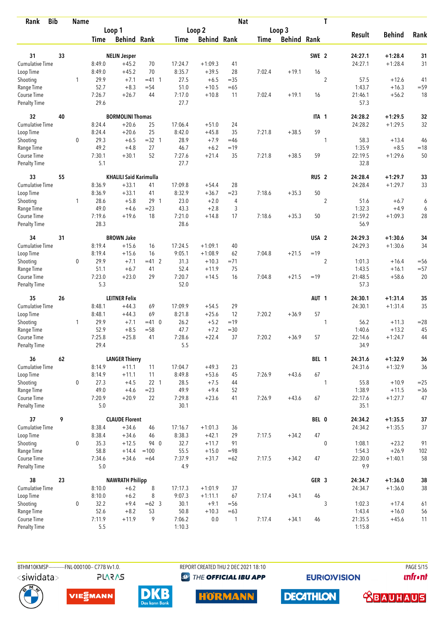| Rank                        | <b>Bib</b> | <b>Name</b> |                 |                               |                 |                |                    | <b>Nat</b>   |        |                    |                  | T              |                 |               |        |
|-----------------------------|------------|-------------|-----------------|-------------------------------|-----------------|----------------|--------------------|--------------|--------|--------------------|------------------|----------------|-----------------|---------------|--------|
|                             |            |             |                 | Loop 1                        |                 |                | Loop 2             |              |        | Loop 3             |                  |                |                 |               |        |
|                             |            |             | Time            | <b>Behind Rank</b>            |                 | Time           | <b>Behind Rank</b> |              | Time   | <b>Behind Rank</b> |                  |                | <b>Result</b>   | <b>Behind</b> | Rank   |
| 31                          | 33         |             |                 | <b>NELIN Jesper</b>           |                 |                |                    |              |        |                    | SWE <sub>2</sub> |                | 24:27.1         | $+1:28.4$     | 31     |
| Cumulative Time             |            |             | 8:49.0          | $+45.2$                       | 70              | 17:24.7        | $+1:09.3$          | 41           |        |                    |                  |                | 24:27.1         | $+1:28.4$     | 31     |
| Loop Time                   |            |             | 8:49.0          | $+45.2$                       | 70              | 8:35.7         | $+39.5$            | 28           | 7:02.4 | $+19.1$            | 16               |                |                 |               |        |
| Shooting                    |            | 1           | 29.9            | $+7.1$                        | $=41$ 1         | 27.5           | $+6.5$             | $=35$        |        |                    |                  | $\overline{2}$ | 57.5            | $+12.6$       | 41     |
| Range Time                  |            |             | 52.7            | $+8.3$                        | $= 54$          | 51.0           | $+10.5$            | $=65$        |        |                    |                  |                | 1:43.7          | $+16.3$       | $= 59$ |
| Course Time                 |            |             | 7:26.7          | $+26.7$                       | 44              | 7:17.0         | $+10.8$            | 11           | 7:02.4 | $+19.1$            | 16               |                | 21:46.1         | $+56.2$       | 18     |
| Penalty Time                |            |             | 29.6            |                               |                 | 27.7           |                    |              |        |                    |                  |                | 57.3            |               |        |
| 32                          | 40         |             |                 | <b>BORMOLINI Thomas</b>       |                 |                |                    |              |        |                    | ITA 1            |                | 24:28.2         | $+1:29.5$     | 32     |
| Cumulative Time             |            |             | 8:24.4          | $+20.6$                       | 25              | 17:06.4        | $+51.0$            | 24           |        |                    |                  |                | 24:28.2         | $+1:29.5$     | 32     |
| Loop Time                   |            |             | 8:24.4          | $+20.6$                       | 25              | 8:42.0         | $+45.8$            | 35           | 7:21.8 | $+38.5$            | 59               |                |                 |               |        |
| Shooting                    |            | 0           | 29.3            | $+6.5$                        | $=32$ 1         | 28.9           | $+7.9$             | $=46$        |        |                    |                  | 1              | 58.3            | $+13.4$       | 46     |
| Range Time                  |            |             | 49.2            | $+4.8$                        | 27              | 46.7           | $+6.2$             | $=19$        |        |                    |                  |                | 1:35.9          | $+8.5$        | $=18$  |
| Course Time                 |            |             | 7:30.1          | $+30.1$                       | 52              | 7:27.6         | $+21.4$            | 35           | 7:21.8 | $+38.5$            | 59               |                | 22:19.5         | $+1:29.6$     | 50     |
| <b>Penalty Time</b>         |            |             | 5.1             |                               |                 | 27.7           |                    |              |        |                    |                  |                | 32.8            |               |        |
| 33                          | 55         |             |                 | <b>KHALILI Said Karimulla</b> |                 |                |                    |              |        |                    | RUS <sub>2</sub> |                | 24:28.4         | $+1:29.7$     | 33     |
| <b>Cumulative Time</b>      |            |             | 8:36.9          | $+33.1$                       | 41              | 17:09.8        | $+54.4$            | 28           |        |                    |                  |                | 24:28.4         | $+1:29.7$     | 33     |
| Loop Time                   |            |             | 8:36.9          | $+33.1$                       | 41              | 8:32.9         | $+36.7$            | $= 23$       | 7:18.6 | $+35.3$            | 50               |                |                 |               |        |
| Shooting                    |            | 1           | 28.6            | $+5.8$                        | 29 <sub>1</sub> | 23.0           | $+2.0$             | 4            |        |                    |                  | $\sqrt{2}$     | 51.6            | $+6.7$        | 6      |
| Range Time                  |            |             | 49.0            | $+4.6$                        | $= 23$          | 43.3           | $+2.8$             | 3            |        |                    |                  |                | 1:32.3          | $+4.9$        | 6      |
| Course Time<br>Penalty Time |            |             | 7:19.6<br>28.3  | $+19.6$                       | 18              | 7:21.0<br>28.6 | $+14.8$            | 17           | 7:18.6 | $+35.3$            | 50               |                | 21:59.2<br>56.9 | $+1:09.3$     | 28     |
| 34                          | 31         |             |                 | <b>BROWN Jake</b>             |                 |                |                    |              |        |                    | USA <sub>2</sub> |                | 24:29.3         | $+1:30.6$     | 34     |
| Cumulative Time             |            |             | 8:19.4          | $+15.6$                       | 16              | 17:24.5        | $+1:09.1$          | 40           |        |                    |                  |                | 24:29.3         | $+1:30.6$     | 34     |
|                             |            |             | 8:19.4          | $+15.6$                       | 16              | 9:05.1         | $+1:08.9$          | 62           | 7:04.8 | $+21.5$            | $=19$            |                |                 |               |        |
| Loop Time                   |            | 0           | 29.9            | $+7.1$                        | $=41$ 2         | 31.3           | $+10.3$            | $= 71$       |        |                    |                  | $\overline{2}$ | 1:01.3          | $+16.4$       | $=$ 56 |
| Shooting<br>Range Time      |            |             | 51.1            | $+6.7$                        | 41              | 52.4           | $+11.9$            | 75           |        |                    |                  |                | 1:43.5          | $+16.1$       | $= 57$ |
| Course Time                 |            |             | 7:23.0          | $+23.0$                       | 29              | 7:20.7         | $+14.5$            | 16           | 7:04.8 | $+21.5$            | $=19$            |                | 21:48.5         | $+58.6$       | 20     |
| <b>Penalty Time</b>         |            |             | 5.3             |                               |                 | 52.0           |                    |              |        |                    |                  |                | 57.3            |               |        |
| 35                          | 26         |             |                 | <b>LEITNER Felix</b>          |                 |                |                    |              |        |                    | AUT <sub>1</sub> |                | 24:30.1         | $+1:31.4$     | 35     |
| Cumulative Time             |            |             | 8:48.1          | $+44.3$                       | 69              | 17:09.9        | $+54.5$            | 29           |        |                    |                  |                | 24:30.1         | $+1:31.4$     | 35     |
| Loop Time                   |            |             | 8:48.1          | $+44.3$                       | 69              | 8:21.8         | $+25.6$            | 12           | 7:20.2 | $+36.9$            | 57               |                |                 |               |        |
| Shooting                    |            | 1           | 29.9            | $+7.1$                        | $=41$ 0         | 26.2           | $+5.2$             | $=19$        |        |                    |                  | 1              | 56.2            | $+11.3$       | $= 28$ |
| Range Time                  |            |             | 52.9            | $+8.5$                        | $= 58$          | 47.7           | $+7.2$             | $= 30$       |        |                    |                  |                | 1:40.6          | $+13.2$       | 45     |
| Course Time                 |            |             | 7:25.8          | $+25.8$                       | 41              | 7:28.6         | $+22.4$            | 37           | 7:20.2 | $+36.9$            | 57               |                | 22:14.6         | $+1:24.7$     | 44     |
| Penalty Time                |            |             | 29.4            |                               |                 | 5.5            |                    |              |        |                    |                  |                | 34.9            |               |        |
| 36                          | 62         |             |                 | <b>LANGER Thierry</b>         |                 |                |                    |              |        |                    | BEL 1            |                | 24:31.6         | $+1:32.9$     | 36     |
| Cumulative Time             |            |             | 8:14.9          | $+11.1$                       | 11              | 17:04.7        | $+49.3$            | 23           |        |                    |                  |                | 24:31.6         | $+1:32.9$     | 36     |
| Loop Time                   |            |             | 8:14.9          | $+11.1$                       | 11              | 8:49.8         | $+53.6$            | 45           | 7:26.9 | $+43.6$            | 67               |                |                 |               |        |
| Shooting                    |            | 0           | 27.3            | $+4.5$                        | $22 \quad 1$    | 28.5           | $+7.5$             | 44           |        |                    |                  | 1              | 55.8            | $+10.9$       | $=25$  |
| Range Time                  |            |             | 49.0            | $+4.6$                        | $= 23$          | 49.9           | $+9.4$             | 52           |        |                    |                  |                | 1:38.9          | $+11.5$       | $= 36$ |
| Course Time<br>Penalty Time |            |             | 7:20.9<br>$5.0$ | $+20.9$                       | 22              | 7:29.8<br>30.1 | $+23.6$            | 41           | 7:26.9 | $+43.6$            | 67               |                | 22:17.6<br>35.1 | $+1:27.7$     | 47     |
| 37                          | 9          |             |                 | <b>CLAUDE Florent</b>         |                 |                |                    |              |        |                    | BEL 0            |                | 24:34.2         | $+1:35.5$     | $37$   |
| <b>Cumulative Time</b>      |            |             | 8:38.4          | $+34.6$                       | 46              | 17:16.7        | $+1:01.3$          | 36           |        |                    |                  |                | 24:34.2         | $+1:35.5$     | 37     |
| Loop Time                   |            |             | 8:38.4          | $+34.6$                       | 46              | 8:38.3         | $+42.1$            | 29           | 7:17.5 | $+34.2$            | 47               |                |                 |               |        |
| Shooting                    |            | 0           | 35.3            | $+12.5$                       | 94 0            | 32.7           | $+11.7$            | 91           |        |                    |                  | $\mathbf 0$    | 1:08.1          | $+23.2$       | 91     |
| Range Time                  |            |             | 58.8            | $+14.4$                       | $=100$          | 55.5           | $+15.0$            | $= 98$       |        |                    |                  |                | 1:54.3          | $+26.9$       | 102    |
| Course Time                 |            |             | 7:34.6          | $+34.6$                       | $=64$           | 7:37.9         | $+31.7$            | $=62$        | 7:17.5 | $+34.2$            | 47               |                | 22:30.0         | $+1:40.1$     | 58     |
| Penalty Time                |            |             | $5.0$           |                               |                 | 4.9            |                    |              |        |                    |                  |                | 9.9             |               |        |
| 38                          | 23         |             |                 | <b>NAWRATH Philipp</b>        |                 |                |                    |              |        |                    | GER 3            |                | 24:34.7         | $+1:36.0$     | 38     |
| Cumulative Time             |            |             | 8:10.0          | $+6.2$                        | 8               | 17:17.3        | $+1:01.9$          | 37           |        |                    |                  |                | 24:34.7         | $+1:36.0$     | 38     |
| Loop Time                   |            |             | 8:10.0          | $+6.2$                        | 8               | 9:07.3         | $+1:11.1$          | 67           | 7:17.4 | $+34.1$            | 46               |                |                 |               |        |
| Shooting                    |            | 0           | 32.2            | $+9.4$                        | $=62$ 3         | 30.1           | $+9.1$             | $=$ 56       |        |                    |                  | 3              | 1:02.3          | $+17.4$       | 61     |
| Range Time                  |            |             | 52.6            | $+8.2$                        | 53              | 50.8           | $+10.3$            | $=63$        |        |                    |                  |                | 1:43.4          | $+16.0$       | 56     |
| Course Time                 |            |             | 7:11.9          | $+11.9$                       | 9               | 7:06.2         | 0.0                | $\mathbf{1}$ | 7:17.4 | $+34.1$            | 46               |                | 21:35.5         | $+45.6$       | 11     |
| <b>Penalty Time</b>         |            |             | 5.5             |                               |                 | 1:10.3         |                    |              |        |                    |                  |                | 1:15.8          |               |        |

**PLARAS** 

BTHM10KMSP-----------FNL-000100-- C77B Vv1.0. REPORT CREATED THU 2 DEC 2021 18:10 PAGE 5/15 **<sup><sup>3</sup>** THE OFFICIAL IBU APP</sup>

**HORMANN** 

**EURIOVISION** 







**DECATHLON** 

 **<u>CBAUHAUS</u>** 

*<u><u>Infront</u>*</u>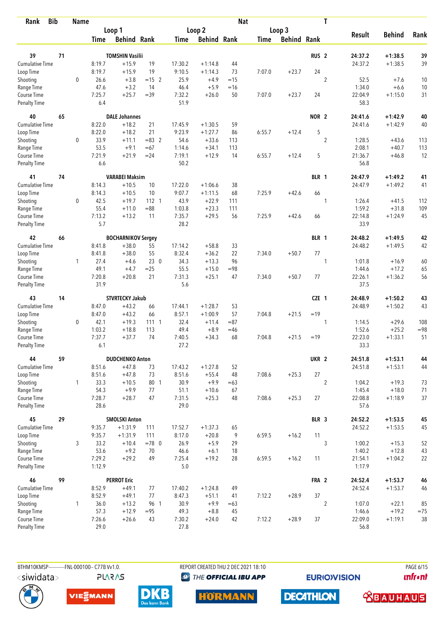| <b>Bib</b><br>Rank                 |    | <b>Name</b>  |                  |                               |          |                 |                    | <b>Nat</b>  |             |                    |                  | T                |                   |               |        |
|------------------------------------|----|--------------|------------------|-------------------------------|----------|-----------------|--------------------|-------------|-------------|--------------------|------------------|------------------|-------------------|---------------|--------|
|                                    |    |              |                  | Loop 1                        |          |                 | Loop 2             |             |             | Loop 3             |                  |                  |                   |               |        |
|                                    |    |              | Time             | <b>Behind Rank</b>            |          | Time            | <b>Behind Rank</b> |             | <b>Time</b> | <b>Behind Rank</b> |                  |                  | <b>Result</b>     | <b>Behind</b> | Rank   |
| 39                                 | 71 |              |                  | <b>TOMSHIN Vasilii</b>        |          |                 |                    |             |             |                    | RUS <sub>2</sub> |                  | 24:37.2           | $+1:38.5$     | 39     |
| <b>Cumulative Time</b>             |    |              | 8:19.7           | $+15.9$                       | 19       | 17:30.2         | $+1:14.8$          | 44          |             |                    |                  |                  | 24:37.2           | $+1:38.5$     | 39     |
| Loop Time                          |    |              | 8:19.7           | $+15.9$                       | 19       | 9:10.5          | $+1:14.3$          | 73          | 7:07.0      | $+23.7$            | 24               |                  |                   |               |        |
| Shooting                           |    | $\mathbf 0$  | 26.6             | $+3.8$                        | $= 15$ 2 | 25.9            | $+4.9$             | $=15$       |             |                    |                  | $\overline{2}$   | 52.5              | $+7.6$        | 10     |
| Range Time                         |    |              | 47.6             | $+3.2$                        | 14       | 46.4            | $+5.9$             | $=16$       |             |                    |                  |                  | 1:34.0            | $+6.6$        | 10     |
| Course Time                        |    |              | 7:25.7           | $+25.7$                       | $=39$    | 7:32.2          | $+26.0$            | 50          | 7:07.0      | $+23.7$            | 24               |                  | 22:04.9           | $+1:15.0$     | 31     |
| <b>Penalty Time</b>                |    |              | 6.4              |                               |          | 51.9            |                    |             |             |                    |                  |                  | 58.3              |               |        |
| 40                                 | 65 |              |                  | <b>DALE Johannes</b>          |          |                 |                    |             |             |                    | NOR <sub>2</sub> |                  | 24:41.6           | $+1:42.9$     | 40     |
| Cumulative Time                    |    |              | 8:22.0           | $+18.2$                       | 21       | 17:45.9         | $+1:30.5$          | 59          |             |                    |                  |                  | 24:41.6           | $+1:42.9$     | 40     |
| Loop Time                          |    |              | 8:22.0           | $+18.2$                       | 21       | 9:23.9          | $+1:27.7$          | 86          | 6:55.7      | $+12.4$            | 5                |                  |                   |               |        |
| Shooting                           |    | 0            | 33.9             | $+11.1$                       | $= 83$ 2 | 54.6            | $+33.6$            | 113         |             |                    |                  | $\overline{2}$   | 1:28.5            | $+43.6$       | 113    |
| Range Time                         |    |              | 53.5             | $+9.1$                        | $=67$    | 1:14.6          | $+34.1$            | 113         |             |                    |                  |                  | 2:08.1            | $+40.7$       | 113    |
| Course Time                        |    |              | 7:21.9           | $+21.9$                       | $= 24$   | 7:19.1          | $+12.9$            | 14          | 6:55.7      | $+12.4$            | 5                |                  | 21:36.7           | $+46.8$       | 12     |
| <b>Penalty Time</b>                |    |              | 6.6              |                               |          | 50.2            |                    |             |             |                    |                  |                  | 56.8              |               |        |
| 41                                 | 74 |              |                  | <b>VARABEI Maksim</b>         |          |                 |                    |             |             |                    | BLR 1            |                  | 24:47.9           | $+1:49.2$     | 41     |
| Cumulative Time                    |    |              | 8:14.3           | $+10.5$                       | 10       | 17:22.0         | $+1:06.6$          | 38          |             |                    |                  |                  | 24:47.9           | $+1:49.2$     | 41     |
| Loop Time                          |    |              | 8:14.3           | $+10.5$                       | 10       | 9:07.7          | $+1:11.5$          | 68          | 7:25.9      | $+42.6$            | 66               |                  |                   |               |        |
| Shooting                           |    | 0            | 42.5             | $+19.7$                       | 112 1    | 43.9            | $+22.9$            | 111         |             |                    |                  | 1                | 1:26.4            | $+41.5$       | 112    |
| Range Time                         |    |              | 55.4             | $+11.0$                       | $= 88$   | 1:03.8          | $+23.3$            | 111         |             |                    |                  |                  | 1:59.2            | $+31.8$       | 109    |
| Course Time<br><b>Penalty Time</b> |    |              | 7:13.2<br>5.7    | $+13.2$                       | 11       | 7:35.7<br>28.2  | $+29.5$            | 56          | 7:25.9      | $+42.6$            | 66               |                  | 22:14.8<br>33.9   | $+1:24.9$     | 45     |
| 42                                 | 66 |              |                  | <b>BOCHARNIKOV Sergey</b>     |          |                 |                    |             |             |                    | BLR 1            |                  | 24:48.2           | $+1:49.5$     | 42     |
| Cumulative Time                    |    |              | 8:41.8           | $+38.0$                       | 55       | 17:14.2         | $+58.8$            | 33          |             |                    |                  |                  | 24:48.2           | $+1:49.5$     | 42     |
| Loop Time                          |    |              | 8:41.8           | $+38.0$                       | 55       | 8:32.4          | $+36.2$            | 22          | 7:34.0      | $+50.7$            | 77               |                  |                   |               |        |
| Shooting                           |    | 1            | 27.4             | $+4.6$                        | 230      | 34.3            | $+13.3$            | 96          |             |                    |                  | 1                | 1:01.8            | $+16.9$       | 60     |
| Range Time                         |    |              | 49.1             | $+4.7$                        | $=25$    | 55.5            | $+15.0$            | $= 98$      |             |                    |                  |                  | 1:44.6            | $+17.2$       | 65     |
| Course Time                        |    |              | 7:20.8           | $+20.8$                       | 21       | 7:31.3          | $+25.1$            | 47          | 7:34.0      | $+50.7$            | 77               |                  | 22:26.1           | $+1:36.2$     | 56     |
| <b>Penalty Time</b>                |    |              | 31.9             |                               |          | 5.6             |                    |             |             |                    |                  |                  | 37.5              |               |        |
| 43                                 | 14 |              |                  | <b>STVRTECKY Jakub</b>        |          |                 |                    |             |             |                    | CZE 1            |                  | 24:48.9           | $+1:50.2$     | 43     |
| Cumulative Time                    |    |              | 8:47.0           | $+43.2$                       | 66       | 17:44.1         | $+1:28.7$          | 53          |             |                    |                  |                  | 24:48.9           | $+1:50.2$     | 43     |
| Loop Time                          |    |              | 8:47.0           | $+43.2$                       | 66       | 8:57.1          | $+1:00.9$          | 57          | 7:04.8      | $+21.5$            | $=19$            |                  |                   |               |        |
| Shooting                           |    | 0            | 42.1             | $+19.3$                       | 11111    | 32.4            | $+11.4$            | $= 87$      |             |                    |                  | 1                | 1:14.5            | $+29.6$       | 108    |
| Range Time                         |    |              | 1:03.2           | $+18.8$                       | 113      | 49.4            | $+8.9$             | $=46$       |             |                    |                  |                  | 1:52.6            | $+25.2$       | $= 98$ |
| Course Time<br><b>Penalty Time</b> |    |              | 7:37.7<br>6.1    | $+37.7$                       | 74       | 7:40.5<br>27.2  | $+34.3$            | 68          | 7:04.8      | $+21.5$            | $=19$            |                  | 22:23.0<br>33.3   | $+1:33.1$     | 51     |
| 44                                 | 59 |              |                  | <b>DUDCHENKO Anton</b>        |          |                 |                    |             |             |                    | UKR <sub>2</sub> |                  | 24:51.8           | $+1:53.1$     | 44     |
| <b>Cumulative Time</b>             |    |              | 8:51.6           | $+47.8$                       | 73       | 17:43.2         | $+1:27.8$          | 52          |             |                    |                  |                  | 24:51.8           | $+1:53.1$     | 44     |
| Loop Time                          |    |              | 8:51.6           | $+47.8$                       | 73       | 8:51.6          | $+55.4$            | 48          | 7:08.6      | $+25.3$            | $27\,$           |                  |                   |               |        |
| Shooting                           |    | $\mathbf{1}$ | 33.3             | $+10.5$                       | 80 1     | 30.9            | $+9.9$             | $=63$       |             |                    |                  | $\overline{2}$   | 1:04.2            | $+19.3$       | 73     |
| Range Time                         |    |              | 54.3             | $+9.9$                        | 77       | 51.1            | $+10.6$            | 67          |             |                    |                  |                  | 1:45.4            | $+18.0$       | 71     |
| Course Time                        |    |              | 7:28.7           | $+28.7$                       | 47       | 7:31.5          | $+25.3$            | 48          | 7:08.6      | $+25.3$            | 27               |                  | 22:08.8           | $+1:18.9$     | 37     |
| Penalty Time                       |    |              | 28.6             |                               |          | 29.0            |                    |             |             |                    |                  |                  | 57.6              |               |        |
| 45                                 | 29 |              |                  | <b>SMOLSKI Anton</b>          |          |                 |                    |             |             |                    | BLR 3            |                  | 24:52.2           | $+1:53.5$     | 45     |
| Cumulative Time                    |    |              | 9:35.7           | $+1:31.9$                     | 111      | 17:52.7         | $+1:37.3$          | 65          |             |                    |                  |                  | 24:52.2           | $+1:53.5$     | 45     |
| Loop Time                          |    |              | 9:35.7           | $+1:31.9$                     | 111      | 8:17.0          | $+20.8$            | 9           | 6:59.5      | $+16.2$            | 11               |                  |                   |               |        |
| Shooting                           |    | 3            | 33.2             | $+10.4$                       | $=78$ 0  | 26.9            | $+5.9$             | 29          |             |                    |                  | 3                | 1:00.2            | $+15.3$       | 52     |
| Range Time                         |    |              | 53.6             | $+9.2$                        | 70       | 46.6            | $+6.1$             | 18          |             |                    |                  |                  | 1:40.2            | $+12.8$       | 43     |
| Course Time<br>Penalty Time        |    |              | 7:29.2<br>1:12.9 | $+29.2$                       | 49       | 7:25.4<br>$5.0$ | $+19.2$            | 28          | 6:59.5      | $+16.2$            | 11               |                  | 21:54.1<br>1:17.9 | $+1:04.2$     | 22     |
| 46                                 | 99 |              |                  |                               |          |                 |                    |             |             |                    |                  |                  |                   |               |        |
| Cumulative Time                    |    |              |                  | <b>PERROT Eric</b><br>$+49.1$ |          |                 |                    | 49          |             |                    | FRA 2            |                  | 24:52.4           | $+1:53.7$     | 46     |
|                                    |    |              | 8:52.9           |                               | 77<br>77 | 17:40.2         | $+1:24.8$          |             |             |                    | 37               |                  | 24:52.4           | $+1:53.7$     | 46     |
| Loop Time<br>Shooting              |    | $\mathbf{1}$ | 8:52.9<br>36.0   | $+49.1$<br>$+13.2$            | 96 1     | 8:47.3<br>30.9  | $+51.1$<br>$+9.9$  | 41<br>$=63$ | 7:12.2      | $+28.9$            |                  | $\boldsymbol{2}$ | 1:07.0            | $+22.1$       | 85     |
| Range Time                         |    |              | 57.3             | $+12.9$                       | $= 95$   | 49.3            | $+8.8$             | 45          |             |                    |                  |                  | 1:46.6            | $+19.2$       | $=75$  |
| Course Time                        |    |              | 7:26.6           | $+26.6$                       | 43       | 7:30.2          | $+24.0$            | 42          | 7:12.2      | $+28.9$            | 37               |                  | 22:09.0           | $+1:19.1$     | 38     |
| Penalty Time                       |    |              | 29.0             |                               |          | 27.8            |                    |             |             |                    |                  |                  | 56.8              |               |        |

BTHM10KMSP------------FNL-000100-- C77B Vv1.0. **PLARAS**  REPORT CREATED THU 2 DEC 2021 18:10 **<sup><sup>3</sup>** THE OFFICIAL IBU APP</sup>

**EURIOVISION** 

PAGE 6/15 *<u><u>Infront</u>*</u>









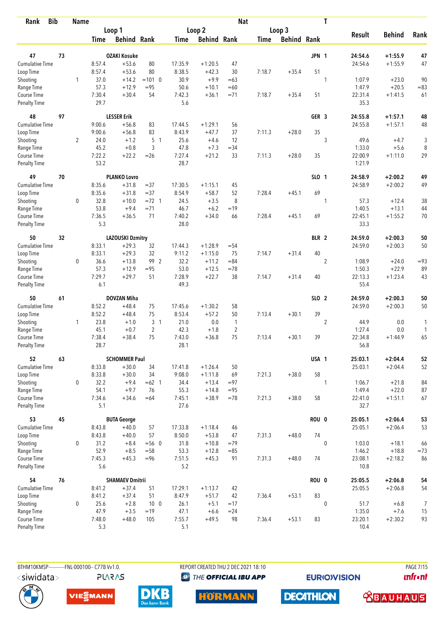| <b>Bib</b><br>Rank                 |    | <b>Name</b>    |                |                         |                    |                |                    | <b>Nat</b>     |             |                    |                  | T              |                 |                    |            |
|------------------------------------|----|----------------|----------------|-------------------------|--------------------|----------------|--------------------|----------------|-------------|--------------------|------------------|----------------|-----------------|--------------------|------------|
|                                    |    |                |                | Loop 1                  |                    |                | Loop 2             |                |             | Loop 3             |                  |                |                 |                    |            |
|                                    |    |                | Time           | <b>Behind Rank</b>      |                    | Time           | <b>Behind Rank</b> |                | <b>Time</b> | <b>Behind Rank</b> |                  |                | <b>Result</b>   | <b>Behind</b>      | Rank       |
| 47                                 | 73 |                |                | <b>OZAKI Kosuke</b>     |                    |                |                    |                |             |                    | JPN 1            |                | 24:54.6         | $+1:55.9$          | 47         |
| <b>Cumulative Time</b>             |    |                | 8:57.4         | $+53.6$                 | 80                 | 17:35.9        | $+1:20.5$          | 47             |             |                    |                  |                | 24:54.6         | $+1:55.9$          | 47         |
| Loop Time                          |    |                | 8:57.4         | $+53.6$                 | 80                 | 8:38.5         | $+42.3$            | 30             | 7:18.7      | $+35.4$            | 51               |                |                 |                    |            |
| Shooting                           |    | 1              | 37.0           | $+14.2$                 | $=101$ 0           | 30.9           | $+9.9$             | $=63$          |             |                    |                  | 1              | 1:07.9          | $+23.0$            | 90         |
| Range Time                         |    |                | 57.3           | $+12.9$                 | $= 95$             | 50.6           | $+10.1$            | $=60$          |             |                    |                  |                | 1:47.9          | $+20.5$            | $= 83$     |
| Course Time                        |    |                | 7:30.4         | $+30.4$                 | 54                 | 7:42.3         | $+36.1$            | $= 71$         | 7:18.7      | $+35.4$            | 51               |                | 22:31.4         | $+1:41.5$          | 61         |
| <b>Penalty Time</b>                |    |                | 29.7           |                         |                    | 5.6            |                    |                |             |                    |                  |                | 35.3            |                    |            |
| 48                                 | 97 |                |                | <b>LESSER Erik</b>      |                    |                |                    |                |             |                    | GER <sub>3</sub> |                | 24:55.8         | $+1:57.1$          | 48         |
| Cumulative Time                    |    |                | 9:00.6         | $+56.8$                 | 83                 | 17:44.5        | $+1:29.1$          | 56             |             |                    |                  |                | 24:55.8         | $+1:57.1$          | 48         |
| Loop Time                          |    |                | 9:00.6         | $+56.8$                 | 83                 | 8:43.9         | $+47.7$            | 37             | 7:11.3      | $+28.0$            | 35               |                |                 |                    |            |
| Shooting                           |    | $\overline{2}$ | 24.0           | $+1.2$                  | 5 <sub>1</sub>     | 25.6           | $+4.6$             | 12             |             |                    |                  | 3              | 49.6            | $+4.7$             | 3          |
| Range Time                         |    |                | 45.2           | $+0.8$                  | 3                  | 47.8           | $+7.3$             | $=34$          |             |                    |                  |                | 1:33.0          | $+5.6$             | 8          |
| Course Time                        |    |                | 7:22.2         | $+22.2$                 | $=26$              | 7:27.4         | $+21.2$            | 33             | 7:11.3      | $+28.0$            | 35               |                | 22:00.9         | $+1:11.0$          | 29         |
| <b>Penalty Time</b>                |    |                | 53.2           |                         |                    | 28.7           |                    |                |             |                    |                  |                | 1:21.9          |                    |            |
| 49                                 | 70 |                |                | <b>PLANKO Lovro</b>     |                    |                |                    |                |             |                    | SLO 1            |                | 24:58.9         | $+2:00.2$          | 49         |
| Cumulative Time                    |    |                | 8:35.6         | $+31.8$                 | $=37$              | 17:30.5        | $+1:15.1$          | 45             |             |                    |                  |                | 24:58.9         | $+2:00.2$          | 49         |
| Loop Time                          |    |                | 8:35.6         | $+31.8$                 | $= 37$             | 8:54.9         | $+58.7$            | 52             | 7:28.4      | $+45.1$            | 69               |                |                 |                    |            |
| Shooting<br>Range Time             |    | $\mathbf 0$    | 32.8<br>53.8   | $+10.0$<br>$+9.4$       | $= 72$ 1<br>$= 71$ | 24.5<br>46.7   | $+3.5$<br>$+6.2$   | 8<br>$=19$     |             |                    |                  | 1              | 57.3<br>1:40.5  | $+12.4$<br>$+13.1$ | 38         |
| Course Time                        |    |                | 7:36.5         | $+36.5$                 | 71                 | 7:40.2         | $+34.0$            | 66             | 7:28.4      | $+45.1$            | 69               |                | 22:45.1         | $+1:55.2$          | 44<br>70   |
| <b>Penalty Time</b>                |    |                | 5.3            |                         |                    | 28.0           |                    |                |             |                    |                  |                | 33.3            |                    |            |
| 50                                 | 32 |                |                | <b>LAZOUSKI Dzmitry</b> |                    |                |                    |                |             |                    | BLR 2            |                | 24:59.0         | $+2:00.3$          | 50         |
| <b>Cumulative Time</b>             |    |                | 8:33.1         | $+29.3$                 | 32                 | 17:44.3        | $+1:28.9$          | $= 54$         |             |                    |                  |                | 24:59.0         | $+2:00.3$          | 50         |
| Loop Time                          |    |                | 8:33.1         | $+29.3$                 | 32                 | 9:11.2         | $+1:15.0$          | 75             | 7:14.7      | $+31.4$            | 40               |                |                 |                    |            |
| Shooting                           |    | 0              | 36.6           | $+13.8$                 | 99 2               | 32.2           | $+11.2$            | $= 84$         |             |                    |                  | $\overline{2}$ | 1:08.9          | $+24.0$            | $= 93$     |
| Range Time                         |    |                | 57.3           | $+12.9$                 | $= 95$             | 53.0           | $+12.5$            | $=78$          |             |                    |                  |                | 1:50.3          | $+22.9$            | 89         |
| Course Time                        |    |                | 7:29.7         | $+29.7$                 | 51                 | 7:28.9         | $+22.7$            | 38             | 7:14.7      | $+31.4$            | 40               |                | 22:13.3         | $+1:23.4$          | 43         |
| <b>Penalty Time</b>                |    |                | 6.1            |                         |                    | 49.3           |                    |                |             |                    |                  |                | 55.4            |                    |            |
| 50                                 | 61 |                |                | <b>DOVZAN Miha</b>      |                    |                |                    |                |             |                    | SLO 2            |                | 24:59.0         | $+2:00.3$          | ${\bf 50}$ |
| <b>Cumulative Time</b>             |    |                | 8:52.2         | $+48.4$                 | 75                 | 17:45.6        | $+1:30.2$          | 58             |             |                    |                  |                | 24:59.0         | $+2:00.3$          | 50         |
| Loop Time                          |    |                | 8:52.2         | $+48.4$                 | 75                 | 8:53.4         | $+57.2$            | 50             | 7:13.4      | $+30.1$            | 39               |                |                 |                    |            |
| Shooting                           |    | 1              | 23.8           | $+1.0$                  | 3 <sub>1</sub>     | 21.0           | $0.0\,$            | $\mathbf{1}$   |             |                    |                  | $\overline{c}$ | 44.9            | 0.0                | 1          |
| Range Time                         |    |                | 45.1           | $+0.7$                  | $\overline{2}$     | 42.3           | $+1.8$             | $\overline{2}$ |             |                    |                  |                | 1:27.4          | 0.0                | 1          |
| Course Time<br><b>Penalty Time</b> |    |                | 7:38.4<br>28.7 | $+38.4$                 | 75                 | 7:43.0<br>28.1 | $+36.8$            | 75             | 7:13.4      | $+30.1$            | 39               |                | 22:34.8<br>56.8 | $+1:44.9$          | 65         |
| 52                                 | 63 |                |                | <b>SCHOMMER Paul</b>    |                    |                |                    |                |             |                    | USA 1            |                | 25:03.1         | $+2:04.4$          | 52         |
| Cumulative Time                    |    |                | 8:33.8         | $+30.0$                 | 34                 | 17:41.8        | $+1:26.4$          | 50             |             |                    |                  |                | 25:03.1         | $+2:04.4$          | 52         |
| Loop Time                          |    |                | 8:33.8         | $+30.0$                 | 34                 | 9:08.0         | $+1:11.8$          | 69             | 7:21.3      | $+38.0$            | 58               |                |                 |                    |            |
| Shooting                           |    | 0              | 32.2           | $+9.4$                  | $=62$ 1            | 34.4           | $+13.4$            | $= 97$         |             |                    |                  | 1              | 1:06.7          | $+21.8$            | 84         |
| Range Time                         |    |                | 54.1           | $+9.7$                  | 76                 | 55.3           | $+14.8$            | $= 95$         |             |                    |                  |                | 1:49.4          | $+22.0$            | 87         |
| Course Time                        |    |                | 7:34.6         | $+34.6$                 | $=64$              | 7:45.1         | $+38.9$            | $=78$          | 7:21.3      | $+38.0$            | 58               |                | 22:41.0         | $+1:51.1$          | 67         |
| Penalty Time                       |    |                | 5.1            |                         |                    | 27.6           |                    |                |             |                    |                  |                | 32.7            |                    |            |
| 53                                 | 45 |                |                | <b>BUTA George</b>      |                    |                |                    |                |             |                    | ROU 0            |                | 25:05.1         | $+2:06.4$          | 53         |
| <b>Cumulative Time</b>             |    |                | 8:43.8         | $+40.0$                 | 57                 | 17:33.8        | $+1:18.4$          | 46             |             |                    |                  |                | 25:05.1         | $+2:06.4$          | 53         |
| Loop Time                          |    |                | 8:43.8         | $+40.0$                 | 57                 | 8:50.0         | $+53.8$            | 47             | 7:31.3      | $+48.0$            | 74               |                |                 |                    |            |
| Shooting                           |    | 0              | 31.2           | $+8.4$                  | $= 560$            | 31.8           | $+10.8$            | $=79$          |             |                    |                  | $\mathbf 0$    | 1:03.0          | $+18.1$            | 66         |
| Range Time                         |    |                | 52.9           | $+8.5$                  | $=58$              | 53.3           | $+12.8$            | $= 85$         |             |                    |                  |                | 1:46.2          | $+18.8$            | $=73$      |
| Course Time<br>Penalty Time        |    |                | 7:45.3<br>5.6  | $+45.3$                 | $= 96$             | 7:51.5<br>5.2  | $+45.3$            | 91             | 7:31.3      | $+48.0$            | 74               |                | 23:08.1<br>10.8 | $+2:18.2$          | 86         |
| 54                                 | 76 |                |                | <b>SHAMAEV Dmitrii</b>  |                    |                |                    |                |             |                    | ROU 0            |                | 25:05.5         | $+2:06.8$          | 54         |
| <b>Cumulative Time</b>             |    |                | 8:41.2         | $+37.4$                 | 51                 | 17:29.1        | $+1:13.7$          | 42             |             |                    |                  |                | 25:05.5         | $+2:06.8$          | 54         |
| Loop Time                          |    |                | 8:41.2         | $+37.4$                 | 51                 | 8:47.9         | $+51.7$            | 42             | 7:36.4      | $+53.1$            | 83               |                |                 |                    |            |
| Shooting                           |    | 0              | 25.6           | $+2.8$                  | 10 <sub>0</sub>    | 26.1           | $+5.1$             | $=17$          |             |                    |                  | $\mathbf{0}$   | 51.7            | $+6.8$             | 7          |
| Range Time                         |    |                | 47.9           | $+3.5$                  | $=19$              | 47.1           | $+6.6$             | $= 24$         |             |                    |                  |                | 1:35.0          | $+7.6$             | 15         |
| Course Time                        |    |                | 7:48.0         | $+48.0$                 | 105                | 7:55.7         | $+49.5$            | 98             | 7:36.4      | $+53.1$            | 83               |                | 23:20.1         | $+2:30.2$          | 93         |
| Penalty Time                       |    |                | 5.3            |                         |                    | 5.1            |                    |                |             |                    |                  |                | 10.4            |                    |            |

BTHM10KMSP------------FNL-000100-- C77B Vv1.0. **PLARAS**  REPORT CREATED THU 2 DEC 2021 18:10 **<sup><sup>3</sup>** THE OFFICIAL IBU APP</sup>

**EURIOVISION** 

**PAGE 7/15** *<u><u>Infront</u>*</u>











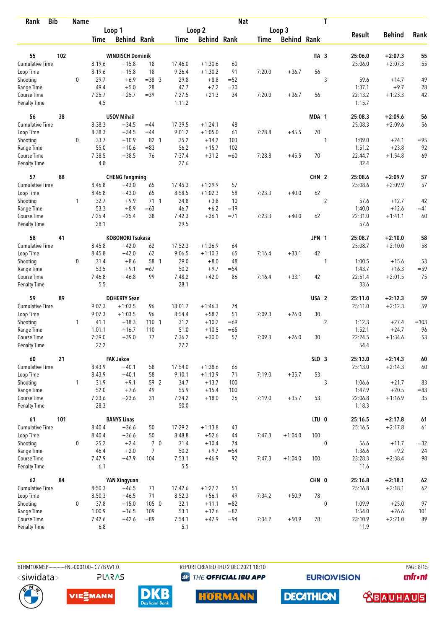| <b>Bib</b><br>Rank          |     | <b>Name</b>  |                |                         |                |                |                    | <b>Nat</b> |             |                    |                  | T              |                   |               |            |
|-----------------------------|-----|--------------|----------------|-------------------------|----------------|----------------|--------------------|------------|-------------|--------------------|------------------|----------------|-------------------|---------------|------------|
|                             |     |              |                | Loop 1                  |                |                | Loop 2             |            |             | Loop 3             |                  |                |                   |               |            |
|                             |     |              | Time           | <b>Behind Rank</b>      |                | Time           | <b>Behind Rank</b> |            | <b>Time</b> | <b>Behind Rank</b> |                  |                | <b>Result</b>     | <b>Behind</b> | Rank       |
| 55                          | 102 |              |                | <b>WINDISCH Dominik</b> |                |                |                    |            |             |                    | ITA <sub>3</sub> |                | 25:06.0           | $+2:07.3$     | 55         |
| <b>Cumulative Time</b>      |     |              | 8:19.6         | $+15.8$                 | 18             | 17:46.0        | $+1:30.6$          | 60         |             |                    |                  |                | 25:06.0           | $+2:07.3$     | 55         |
|                             |     |              | 8:19.6         | $+15.8$                 | 18             | 9:26.4         | $+1:30.2$          | 91         | 7:20.0      | $+36.7$            | 56               |                |                   |               |            |
| Loop Time                   |     | $\mathbf 0$  | 29.7           | $+6.9$                  | $=38$ 3        | 29.8           | $+8.8$             | $=52$      |             |                    |                  | 3              | 59.6              | $+14.7$       | 49         |
| Shooting<br>Range Time      |     |              | 49.4           | $+5.0$                  | 28             | 47.7           | $+7.2$             | $=30$      |             |                    |                  |                | 1:37.1            | $+9.7$        | 28         |
| Course Time                 |     |              | 7:25.7         | $+25.7$                 | $=39$          | 7:27.5         | $+21.3$            | 34         | 7:20.0      | $+36.7$            | 56               |                | 22:13.2           | $+1:23.3$     | 42         |
| <b>Penalty Time</b>         |     |              | 4.5            |                         |                | 1:11.2         |                    |            |             |                    |                  |                | 1:15.7            |               |            |
| 56                          | 38  |              |                | <b>USOV Mihail</b>      |                |                |                    |            |             |                    | MDA 1            |                | 25:08.3           | $+2:09.6$     | 56         |
| Cumulative Time             |     |              | 8:38.3         | $+34.5$                 | $=44$          | 17:39.5        | $+1:24.1$          | 48         |             |                    |                  |                | 25:08.3           | $+2:09.6$     | 56         |
| Loop Time                   |     |              | 8:38.3         | $+34.5$                 | $=44$          | 9:01.2         | $+1:05.0$          | 61         | 7:28.8      | $+45.5$            | 70               |                |                   |               |            |
| Shooting                    |     | 0            | 33.7           | $+10.9$                 | 82 1           | 35.2           | $+14.2$            | 103        |             |                    |                  | 1              | 1:09.0            | $+24.1$       | $= 95$     |
| Range Time                  |     |              | 55.0           | $+10.6$                 | $= 83$         | 56.2           | $+15.7$            | 102        |             |                    |                  |                | 1:51.2            | $+23.8$       | 92         |
| Course Time                 |     |              | 7:38.5         | $+38.5$                 | 76             | 7:37.4         | $+31.2$            | $=60$      | 7:28.8      | $+45.5$            | 70               |                | 22:44.7           | $+1:54.8$     | 69         |
| <b>Penalty Time</b>         |     |              | 4.8            |                         |                | 27.6           |                    |            |             |                    |                  |                | 32.4              |               |            |
| 57                          | 88  |              |                | <b>CHENG Fangming</b>   |                |                |                    |            |             |                    | CHN <sub>2</sub> |                | 25:08.6           | $+2:09.9$     | 57         |
| Cumulative Time             |     |              | 8:46.8         | $+43.0$                 | 65             | 17:45.3        | $+1:29.9$          | 57         |             |                    |                  |                | 25:08.6           | $+2:09.9$     | 57         |
| Loop Time                   |     |              | 8:46.8         | $+43.0$                 | 65             | 8:58.5         | $+1:02.3$          | 58         | 7:23.3      | $+40.0$            | 62               |                |                   |               |            |
| Shooting                    |     | 1            | 32.7           | $+9.9$                  | $71 \quad 1$   | 24.8           | $+3.8$             | 10         |             |                    |                  | $\overline{c}$ | 57.6              | $+12.7$       | 42         |
| Range Time                  |     |              | 53.3           | $+8.9$                  | $=63$          | 46.7           | $+6.2$             | $=19$      |             |                    |                  |                | 1:40.0            | $+12.6$       | $=41$      |
| Course Time                 |     |              | 7:25.4         | $+25.4$                 | 38             | 7:42.3         | $+36.1$            | $= 71$     | 7:23.3      | $+40.0$            | 62               |                | 22:31.0           | $+1:41.1$     | 60         |
| <b>Penalty Time</b>         |     |              | 28.1           |                         |                | 29.5           |                    |            |             |                    |                  |                | 57.6              |               |            |
| 58                          | 41  |              |                | <b>KOBONOKI Tsukasa</b> |                |                |                    |            |             |                    | JPN 1            |                | 25:08.7           | $+2:10.0$     | 58         |
| Cumulative Time             |     |              | 8:45.8         | $+42.0$                 | 62             | 17:52.3        | $+1:36.9$          | 64         |             |                    |                  |                | 25:08.7           | $+2:10.0$     | 58         |
| Loop Time                   |     |              | 8:45.8         | $+42.0$                 | 62             | 9:06.5         | $+1:10.3$          | 65         | 7:16.4      | $+33.1$            | 42               |                |                   |               |            |
| Shooting                    |     | 0            | 31.4           | $+8.6$                  | 58 1           | 29.0           | $+8.0$             | 48         |             |                    |                  | 1              | 1:00.5            | $+15.6$       | 53         |
| Range Time                  |     |              | 53.5           | $+9.1$                  | $=67$          | 50.2           | $+9.7$             | $= 54$     |             |                    |                  |                | 1:43.7            | $+16.3$       | $=59$      |
| Course Time                 |     |              | 7:46.8         | $+46.8$                 | 99             | 7:48.2         | $+42.0$            | 86         | 7:16.4      | $+33.1$            | 42               |                | 22:51.4           | $+2:01.5$     | 75         |
| <b>Penalty Time</b>         |     |              | 5.5            |                         |                | 28.1           |                    |            |             |                    |                  |                | 33.6              |               |            |
| 59                          | 89  |              |                | <b>DOHERTY Sean</b>     |                |                |                    |            |             |                    | USA <sub>2</sub> |                | 25:11.0           | $+2:12.3$     | 59         |
| <b>Cumulative Time</b>      |     |              | 9:07.3         | $+1:03.5$               | 96             | 18:01.7        | $+1:46.3$          | 74         |             |                    |                  |                | 25:11.0           | $+2:12.3$     | 59         |
| Loop Time                   |     |              | 9:07.3         | $+1:03.5$               | 96             | 8:54.4         | $+58.2$            | 51         | 7:09.3      | $+26.0$            | 30               |                |                   |               |            |
| Shooting                    |     | 1            | 41.1           | $+18.3$                 | 110 1          | 31.2           | $+10.2$            | $=69$      |             |                    |                  | $\overline{2}$ | 1:12.3            | $+27.4$       | $=103$     |
| Range Time                  |     |              | 1:01.1         | $+16.7$                 | 110            | 51.0           | $+10.5$            | $=65$      |             |                    |                  |                | 1:52.1            | $+24.7$       | 96         |
| Course Time                 |     |              | 7:39.0         | $+39.0$                 | 77             | 7:36.2         | $+30.0$            | 57         | 7:09.3      | $+26.0$            | 30               |                | 22:24.5           | $+1:34.6$     | 53         |
| <b>Penalty Time</b>         |     |              | 27.2           |                         |                | 27.2           |                    |            |             |                    |                  |                | 54.4              |               |            |
| 60                          | 21  |              |                | <b>FAK Jakov</b>        |                |                |                    |            |             |                    | SLO 3            |                | 25:13.0           | $+2:14.3$     | $\pmb{60}$ |
| Cumulative Time             |     |              | 8:43.9         | $+40.1$                 | 58             | 17:54.0        | $+1:38.6$          | 66         |             |                    |                  |                | 25:13.0           | $+2:14.3$     | $60\,$     |
| Loop Time                   |     |              | 8:43.9         | $+40.1$                 | 58             | 9:10.1         | $+1:13.9$          | 71         | 7:19.0      | $+35.7$            | 53               |                |                   |               |            |
| Shooting                    |     | $\mathbf{1}$ | 31.9           | $+9.1$                  | 59 2           | 34.7           | $+13.7$            | 100        |             |                    |                  | 3              | 1:06.6            | $+21.7$       | 83         |
| Range Time                  |     |              | 52.0           | $+7.6$                  | 49             | 55.9           | $+15.4$            | 100        |             |                    |                  |                | 1:47.9            | $+20.5$       | $= 83$     |
| Course Time<br>Penalty Time |     |              | 7:23.6<br>28.3 | $+23.6$                 | 31             | 7:24.2<br>50.0 | $+18.0$            | 26         | 7:19.0      | $+35.7$            | 53               |                | 22:06.8<br>1:18.3 | $+1:16.9$     | 35         |
| 61                          | 101 |              |                | <b>BANYS Linas</b>      |                |                |                    |            |             |                    | LTU 0            |                | 25:16.5           | $+2:17.8$     | $61\,$     |
| <b>Cumulative Time</b>      |     |              | 8:40.4         | $+36.6$                 | 50             | 17:29.2        | $+1:13.8$          | 43         |             |                    |                  |                | 25:16.5           | $+2:17.8$     | 61         |
| Loop Time                   |     |              | 8:40.4         | $+36.6$                 | 50             | 8:48.8         | $+52.6$            | 44         | 7:47.3      | $+1:04.0$          | 100              |                |                   |               |            |
| Shooting                    |     | 0            | 25.2           | $+2.4$                  | 7 0            | 31.4           | $+10.4$            | 74         |             |                    |                  | $\mathbf 0$    | 56.6              | $+11.7$       | $= 32$     |
| Range Time                  |     |              | 46.4           | $+2.0$                  | $\overline{7}$ | 50.2           | $+9.7$             | $= 54$     |             |                    |                  |                | 1:36.6            | $+9.2$        | 24         |
| Course Time                 |     |              | 7:47.9         | $+47.9$                 | 104            | 7:53.1         | $+46.9$            | 92         | 7:47.3      | $+1:04.0$          | 100              |                | 23:28.3           | $+2:38.4$     | 98         |
| Penalty Time                |     |              | 6.1            |                         |                | 5.5            |                    |            |             |                    |                  |                | 11.6              |               |            |
| 62                          | 84  |              |                | <b>YAN Xingyuan</b>     |                |                |                    |            |             |                    | CHN 0            |                | 25:16.8           | $+2:18.1$     | $62\,$     |
| Cumulative Time             |     |              | 8:50.3         | $+46.5$                 | 71             | 17:42.6        | $+1:27.2$          | 51         |             |                    |                  |                | 25:16.8           | $+2:18.1$     | 62         |
| Loop Time                   |     |              | 8:50.3         | $+46.5$                 | 71             | 8:52.3         | $+56.1$            | 49         | 7:34.2      | $+50.9$            | 78               |                |                   |               |            |
| Shooting                    |     | 0            | 37.8           | $+15.0$                 | 105 0          | 32.1           | $+11.1$            | $= 82$     |             |                    |                  | $\mathbf 0$    | 1:09.9            | $+25.0$       | 97         |
| Range Time                  |     |              | 1:00.9         | $+16.5$                 | 109            | 53.1           | $+12.6$            | $= 82$     |             |                    |                  |                | 1:54.0            | $+26.6$       | 101        |
| Course Time                 |     |              | 7:42.6         | $+42.6$                 | $=89$          | 7:54.1         | $+47.9$            | $= 94$     | 7:34.2      | $+50.9$            | 78               |                | 23:10.9           | $+2:21.0$     | 89         |
| <b>Penalty Time</b>         |     |              | 6.8            |                         |                | 5.1            |                    |            |             |                    |                  |                | 11.9              |               |            |



**PLARAS** 

BTHM10KMSP-----------FNL-000100-- C77B Vv1.0. REPORT CREATED THU 2 DEC 2021 18:10 PAGE 8/15 **<sup><sup>3</sup>** THE OFFICIAL IBU APP</sup>

**EURIOVISION** 

*<u><u>Infront</u>*</u>







**HORMANN** 

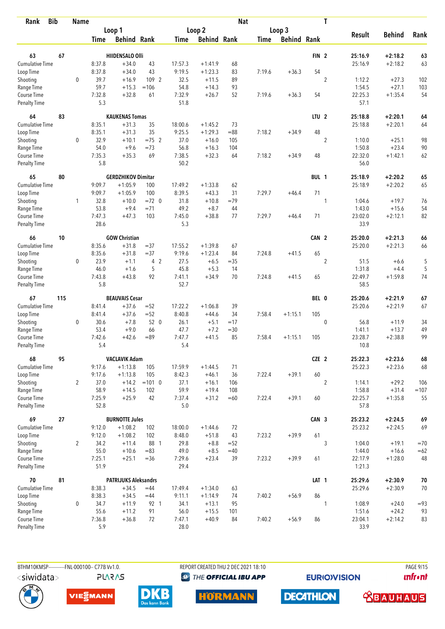| <b>Bib</b><br>Rank                 |     | <b>Name</b>    |                |                             |          |                |                    | <b>Nat</b> |             |                    |                  | T              |                   |               |        |
|------------------------------------|-----|----------------|----------------|-----------------------------|----------|----------------|--------------------|------------|-------------|--------------------|------------------|----------------|-------------------|---------------|--------|
|                                    |     |                |                | Loop 1                      |          |                | Loop 2             |            |             | Loop 3             |                  |                |                   |               |        |
|                                    |     |                | Time           | <b>Behind Rank</b>          |          | Time           | <b>Behind Rank</b> |            | <b>Time</b> | <b>Behind Rank</b> |                  |                | <b>Result</b>     | <b>Behind</b> | Rank   |
| 63                                 | 67  |                |                | <b>HIIDENSALO Olli</b>      |          |                |                    |            |             |                    | FIN <sub>2</sub> |                | 25:16.9           | $+2:18.2$     | 63     |
| <b>Cumulative Time</b>             |     |                | 8:37.8         | $+34.0$                     | 43       | 17:57.3        | $+1:41.9$          | 68         |             |                    |                  |                | 25:16.9           | $+2:18.2$     | 63     |
| Loop Time                          |     |                | 8:37.8         | $+34.0$                     | 43       | 9:19.5         | $+1:23.3$          | 83         | 7:19.6      | $+36.3$            | 54               |                |                   |               |        |
| Shooting                           |     | $\mathbf 0$    | 39.7           | $+16.9$                     | 109 2    | 32.5           | $+11.5$            | 89         |             |                    |                  | $\overline{2}$ | 1:12.2            | $+27.3$       | 102    |
| Range Time                         |     |                | 59.7           | $+15.3$                     | $=106$   | 54.8           | $+14.3$            | 93         |             |                    |                  |                | 1:54.5            | $+27.1$       | 103    |
| Course Time                        |     |                | 7:32.8         | $+32.8$                     | 61       | 7:32.9         | $+26.7$            | 52         | 7:19.6      | $+36.3$            | 54               |                | 22:25.3           | $+1:35.4$     | 54     |
| <b>Penalty Time</b>                |     |                | 5.3            |                             |          | 51.8           |                    |            |             |                    |                  |                | 57.1              |               |        |
| 64                                 | 83  |                |                | <b>KAUKENAS Tomas</b>       |          |                |                    |            |             |                    | LTU <sub>2</sub> |                | 25:18.8           | $+2:20.1$     | 64     |
| Cumulative Time                    |     |                | 8:35.1         | $+31.3$                     | 35       | 18:00.6        | $+1:45.2$          | 73         |             |                    |                  |                | 25:18.8           | $+2:20.1$     | 64     |
| Loop Time                          |     |                | 8:35.1         | $+31.3$                     | 35       | 9:25.5         | $+1:29.3$          | $= 88$     | 7:18.2      | $+34.9$            | 48               |                |                   |               |        |
| Shooting                           |     | 0              | 32.9           | $+10.1$                     | $=75$ 2  | 37.0           | $+16.0$            | 105        |             |                    |                  | $\overline{2}$ | 1:10.0            | $+25.1$       | 98     |
| Range Time                         |     |                | 54.0           | $+9.6$                      | $=73$    | 56.8           | $+16.3$            | 104        |             |                    |                  |                | 1:50.8            | $+23.4$       | 90     |
| Course Time                        |     |                | 7:35.3         | $+35.3$                     | 69       | 7:38.5         | $+32.3$            | 64         | 7:18.2      | $+34.9$            | 48               |                | 22:32.0           | $+1:42.1$     | 62     |
| Penalty Time                       |     |                | 5.8            |                             |          | 50.2           |                    |            |             |                    |                  |                | 56.0              |               |        |
| 65                                 | 80  |                |                | <b>GERDZHIKOV Dimitar</b>   |          |                |                    |            |             |                    | BUL 1            |                | 25:18.9           | $+2:20.2$     | 65     |
| <b>Cumulative Time</b>             |     |                | 9:09.7         | $+1:05.9$                   | 100      | 17:49.2        | $+1:33.8$          | 62         |             |                    |                  |                | 25:18.9           | $+2:20.2$     | 65     |
| Loop Time                          |     |                | 9:09.7         | $+1:05.9$                   | 100      | 8:39.5         | $+43.3$            | 31         | 7:29.7      | $+46.4$            | 71               |                |                   |               |        |
| Shooting                           |     | 1              | 32.8           | $+10.0$                     | $=72$ 0  | 31.8           | $+10.8$            | $=79$      |             |                    |                  | 1              | 1:04.6            | $+19.7$       | 76     |
| Range Time                         |     |                | 53.8           | $+9.4$                      | $= 71$   | 49.2           | $+8.7$             | 44         |             |                    |                  |                | 1:43.0            | $+15.6$       | 54     |
| Course Time<br><b>Penalty Time</b> |     |                | 7:47.3<br>28.6 | $+47.3$                     | 103      | 7:45.0<br>5.3  | $+38.8$            | 77         | 7:29.7      | $+46.4$            | 71               |                | 23:02.0<br>33.9   | $+2:12.1$     | 82     |
| 66                                 | 10  |                |                | <b>GOW Christian</b>        |          |                |                    |            |             |                    | CAN 2            |                | 25:20.0           | $+2:21.3$     | 66     |
| <b>Cumulative Time</b>             |     |                | 8:35.6         | $+31.8$                     | $=37$    | 17:55.2        | $+1:39.8$          | 67         |             |                    |                  |                | 25:20.0           | $+2:21.3$     | 66     |
| Loop Time                          |     |                | 8:35.6         | $+31.8$                     | $= 37$   | 9:19.6         | $+1:23.4$          | 84         | 7:24.8      | $+41.5$            | 65               |                |                   |               |        |
| Shooting                           |     | 0              | 23.9           | $+1.1$                      | 4 2      | 27.5           | $+6.5$             | $= 35$     |             |                    |                  | $\overline{2}$ | 51.5              | $+6.6$        | 5      |
| Range Time                         |     |                | 46.0           | $+1.6$                      | 5        | 45.8           | $+5.3$             | 14         |             |                    |                  |                | 1:31.8            | $+4.4$        | 5      |
| Course Time                        |     |                | 7:43.8         | $+43.8$                     | 92       | 7:41.1         | $+34.9$            | 70         | 7:24.8      | $+41.5$            | 65               |                | 22:49.7           | $+1:59.8$     | 74     |
| <b>Penalty Time</b>                |     |                | 5.8            |                             |          | 52.7           |                    |            |             |                    |                  |                | 58.5              |               |        |
| 67                                 | 115 |                |                | <b>BEAUVAIS Cesar</b>       |          |                |                    |            |             |                    | BEL 0            |                | 25:20.6           | $+2:21.9$     | 67     |
| <b>Cumulative Time</b>             |     |                | 8:41.4         | $+37.6$                     | $= 52$   | 17:22.2        | $+1:06.8$          | 39         |             |                    |                  |                | 25:20.6           | $+2:21.9$     | 67     |
| Loop Time                          |     |                | 8:41.4         | $+37.6$                     | $=52$    | 8:40.8         | $+44.6$            | 34         | 7:58.4      | $+1:15.1$          | 105              |                |                   |               |        |
| Shooting                           |     | 0              | 30.6           | $+7.8$                      | 52 0     | 26.1           | $+5.1$             | $=17$      |             |                    |                  | $\mathbf 0$    | 56.8              | $+11.9$       | 34     |
| Range Time                         |     |                | 53.4           | $+9.0$                      | 66       | 47.7           | $+7.2$             | $= 30$     |             |                    |                  |                | 1:41.1            | $+13.7$       | 49     |
| Course Time<br><b>Penalty Time</b> |     |                | 7:42.6<br>5.4  | $+42.6$                     | $= 89$   | 7:47.7<br>5.4  | $+41.5$            | 85         | 7:58.4      | $+1:15.1$          | 105              |                | 23:28.7<br>10.8   | $+2:38.8$     | 99     |
| 68                                 | 95  |                |                | <b>VACLAVIK Adam</b>        |          |                |                    |            |             |                    | CZE 2            |                | 25:22.3           | $+2:23.6$     | 68     |
| <b>Cumulative Time</b>             |     |                | 9:17.6         | $+1:13.8$                   | 105      | 17:59.9        | $+1:44.5$          | 71         |             |                    |                  |                | 25:22.3           | $+2:23.6$     | 68     |
| Loop Time                          |     |                | 9:17.6         | $+1:13.8$                   | 105      | 8:42.3         | $+46.1$            | 36         | 7:22.4      | $+39.1$            | 60               |                |                   |               |        |
| Shooting                           |     | $\overline{2}$ | 37.0           | $+14.2$                     | $=101$ 0 | 37.1           | $+16.1$            | 106        |             |                    |                  | $\overline{2}$ | 1:14.1            | $+29.2$       | 106    |
| Range Time                         |     |                | 58.9           | $+14.5$                     | 102      | 59.9           | $+19.4$            | 108        |             |                    |                  |                | 1:58.8            | $+31.4$       | $=107$ |
| Course Time                        |     |                | 7:25.9         | $+25.9$                     | 42       | 7:37.4         | $+31.2$            | $=60$      | 7:22.4      | $+39.1$            | 60               |                | 22:25.7           | $+1:35.8$     | 55     |
| Penalty Time                       |     |                | 52.8           |                             |          | 5.0            |                    |            |             |                    |                  |                | 57.8              |               |        |
| 69                                 | 27  |                |                | <b>BURNOTTE Jules</b>       |          |                |                    |            |             |                    | CAN 3            |                | 25:23.2           | $+2:24.5$     | 69     |
| <b>Cumulative Time</b>             |     |                | 9:12.0         | $+1:08.2$                   | 102      | 18:00.0        | $+1:44.6$          | 72         |             |                    |                  |                | 25:23.2           | $+2:24.5$     | 69     |
| Loop Time                          |     |                | 9:12.0         | $+1:08.2$                   | 102      | 8:48.0         | $+51.8$            | 43         | 7:23.2      | $+39.9$            | 61               |                |                   |               |        |
| Shooting                           |     | $\overline{2}$ | 34.2           | $+11.4$                     | 88 1     | 29.8           | $+8.8$             | $=52$      |             |                    |                  | 3              | 1:04.0            | $+19.1$       | $=70$  |
| Range Time                         |     |                | 55.0           | $+10.6$                     | $= 83$   | 49.0           | $+8.5$             | $=40$      |             |                    |                  |                | 1:44.0            | $+16.6$       | $=62$  |
| Course Time<br>Penalty Time        |     |                | 7:25.1<br>51.9 | $+25.1$                     | $=36$    | 7:29.6<br>29.4 | $+23.4$            | 39         | 7:23.2      | $+39.9$            | 61               |                | 22:17.9<br>1:21.3 | $+1:28.0$     | 48     |
| 70                                 | 81  |                |                | <b>PATRIJUKS Aleksandrs</b> |          |                |                    |            |             |                    | LAT <sub>1</sub> |                | 25:29.6           | $+2:30.9$     | $70\,$ |
| <b>Cumulative Time</b>             |     |                | 8:38.3         | $+34.5$                     | $=44$    | 17:49.4        | $+1:34.0$          | 63         |             |                    |                  |                | 25:29.6           | $+2:30.9$     | 70     |
| Loop Time                          |     |                | 8:38.3         | $+34.5$                     | $=44$    | 9:11.1         | $+1:14.9$          | 74         | 7:40.2      | $+56.9$            | 86               |                |                   |               |        |
| Shooting                           |     | $\mathbf 0$    | 34.7           | $+11.9$                     | 92 1     | 34.1           | $+13.1$            | 95         |             |                    |                  | 1              | 1:08.9            | $+24.0$       | $= 93$ |
| Range Time                         |     |                | 55.6           | $+11.2$                     | 91       | 56.0           | $+15.5$            | 101        |             |                    |                  |                | 1:51.6            | $+24.2$       | 93     |
| Course Time                        |     |                | 7:36.8         | $+36.8$                     | 72       | 7:47.1         | $+40.9$            | 84         | 7:40.2      | $+56.9$            | 86               |                | 23:04.1           | $+2:14.2$     | 83     |
| Penalty Time                       |     |                | 5.9            |                             |          | 28.0           |                    |            |             |                    |                  |                | 33.9              |               |        |

BTHM10KMSP------------FNL-000100-- C77B Vv1.0. **PLARAS**  REPORT CREATED THU 2 DEC 2021 18:10 **<sup><sup>3</sup>** THE OFFICIAL IBU APP</sup>

**EURIOVISION** 

**PAGE 9/15** *<u><u>Infront</u>*</u>









**DECATHLON** 

 **<u>CBAUHAUS</u>**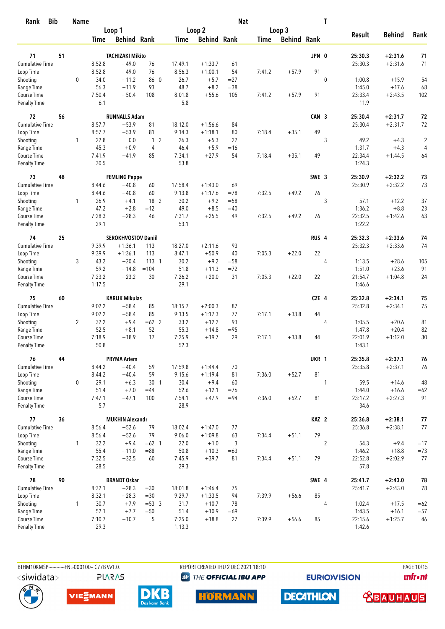| <b>Bib</b><br>Rank          |    | <b>Name</b>    |                |                            |                 |                |                    | <b>Nat</b> |        |                    |                  | T              |                 |               |                |
|-----------------------------|----|----------------|----------------|----------------------------|-----------------|----------------|--------------------|------------|--------|--------------------|------------------|----------------|-----------------|---------------|----------------|
|                             |    |                |                | Loop 1                     |                 |                | Loop 2             |            |        | Loop 3             |                  |                |                 |               |                |
|                             |    |                | Time           | <b>Behind Rank</b>         |                 | Time           | <b>Behind Rank</b> |            | Time   | <b>Behind Rank</b> |                  |                | <b>Result</b>   | <b>Behind</b> | Rank           |
|                             |    |                |                |                            |                 |                |                    |            |        |                    |                  |                |                 |               |                |
| 71                          | 51 |                |                | <b>TACHIZAKI Mikito</b>    |                 |                |                    |            |        |                    | JPN 0            |                | 25:30.3         | $+2:31.6$     | 71             |
| Cumulative Time             |    |                | 8:52.8         | $+49.0$                    | 76              | 17:49.1        | $+1:33.7$          | 61         |        |                    |                  |                | 25:30.3         | $+2:31.6$     | 71             |
| Loop Time                   |    |                | 8:52.8         | $+49.0$                    | 76              | 8:56.3         | $+1:00.1$          | 54         | 7:41.2 | $+57.9$            | 91               |                |                 |               |                |
| Shooting                    |    | 0              | 34.0           | $+11.2$                    | 86 0            | 26.7           | $+5.7$             | $= 27$     |        |                    |                  | $\mathbf 0$    | 1:00.8          | $+15.9$       | 54             |
| Range Time                  |    |                | 56.3           | $+11.9$                    | 93              | 48.7           | $+8.2$             | $= 38$     |        |                    |                  |                | 1:45.0          | $+17.6$       | 68             |
| Course Time<br>Penalty Time |    |                | 7:50.4<br>6.1  | $+50.4$                    | 108             | 8:01.8<br>5.8  | $+55.6$            | 105        | 7:41.2 | $+57.9$            | 91               |                | 23:33.4<br>11.9 | $+2:43.5$     | 102            |
| 72                          | 56 |                |                | <b>RUNNALLS Adam</b>       |                 |                |                    |            |        |                    | CAN <sub>3</sub> |                | 25:30.4         | $+2:31.7$     | 72             |
| Cumulative Time             |    |                | 8:57.7         | $+53.9$                    | 81              | 18:12.0        | $+1:56.6$          | 84         |        |                    |                  |                | 25:30.4         | $+2:31.7$     | 72             |
| Loop Time                   |    |                | 8:57.7         | $+53.9$                    | 81              | 9:14.3         | $+1:18.1$          | 80         | 7:18.4 | $+35.1$            | 49               |                |                 |               |                |
| Shooting                    |    | 1              | 22.8           | 0.0                        | 1 <sub>2</sub>  | 26.3           | $+5.3$             | 22         |        |                    |                  | 3              | 49.2            | $+4.3$        | $\overline{2}$ |
| Range Time                  |    |                | 45.3           | $+0.9$                     | 4               | 46.4           | $+5.9$             | $=16$      |        |                    |                  |                | 1:31.7          | $+4.3$        | 4              |
| Course Time                 |    |                | 7:41.9         | $+41.9$                    | 85              | 7:34.1         | $+27.9$            | 54         | 7:18.4 | $+35.1$            | 49               |                | 22:34.4         | $+1:44.5$     | 64             |
| Penalty Time                |    |                | 30.5           |                            |                 | 53.8           |                    |            |        |                    |                  |                | 1:24.3          |               |                |
| 73                          | 48 |                |                | <b>FEMLING Peppe</b>       |                 |                |                    |            |        |                    | SWE 3            |                | 25:30.9         | $+2:32.2$     | 73             |
| <b>Cumulative Time</b>      |    |                | 8:44.6         | $+40.8$                    | 60              | 17:58.4        | $+1:43.0$          | 69         |        |                    |                  |                | 25:30.9         | $+2:32.2$     | 73             |
| Loop Time                   |    |                | 8:44.6         | $+40.8$                    | 60              | 9:13.8         | $+1:17.6$          | $=78$      | 7:32.5 | $+49.2$            | 76               |                |                 |               |                |
| Shooting                    |    | 1              | 26.9           | $+4.1$                     | 18 2            | 30.2           | $+9.2$             | $=58$      |        |                    |                  | 3              | 57.1            | $+12.2$       | 37             |
| Range Time                  |    |                | 47.2           | $+2.8$                     | $=12$           | 49.0           | $+8.5$             | $=40$      |        |                    |                  |                | 1:36.2          | $+8.8$        | 23             |
| Course Time                 |    |                | 7:28.3         | $+28.3$                    | 46              | 7:31.7         | $+25.5$            | 49         | 7:32.5 | $+49.2$            | 76               |                | 22:32.5         | $+1:42.6$     | 63             |
| Penalty Time                |    |                | 29.1           |                            |                 | 53.1           |                    |            |        |                    |                  |                | 1:22.2          |               |                |
| 74                          | 25 |                |                | <b>SEROKHVOSTOV Daniil</b> |                 |                |                    |            |        |                    | RUS <sub>4</sub> |                | 25:32.3         | $+2:33.6$     | 74             |
| Cumulative Time             |    |                | 9:39.9         | $+1:36.1$                  | 113             | 18:27.0        | $+2:11.6$          | 93         |        |                    |                  |                | 25:32.3         | $+2:33.6$     | 74             |
| Loop Time                   |    |                | 9:39.9         | $+1:36.1$                  | 113             | 8:47.1         | $+50.9$            | 40         | 7:05.3 | $+22.0$            | 22               |                |                 |               |                |
| Shooting                    |    | 3              | 43.2           | $+20.4$                    | $113-1$         | 30.2           | $+9.2$             | $= 58$     |        |                    |                  | 4              | 1:13.5          | $+28.6$       | 105            |
| Range Time                  |    |                | 59.2           | $+14.8$                    | $=104$          | 51.8           | $+11.3$            | $= 72$     |        |                    |                  |                | 1:51.0          | $+23.6$       | 91             |
| Course Time                 |    |                | 7:23.2         | $+23.2$                    | 30              | 7:26.2         | $+20.0$            | 31         | 7:05.3 | $+22.0$            | 22               |                | 21:54.7         | $+1:04.8$     | 24             |
| <b>Penalty Time</b>         |    |                | 1:17.5         |                            |                 | 29.1           |                    |            |        |                    |                  |                | 1:46.6          |               |                |
| 75                          | 60 |                |                | <b>KARLIK Mikulas</b>      |                 |                |                    |            |        |                    | CZE 4            |                | 25:32.8         | $+2:34.1$     | 75             |
| <b>Cumulative Time</b>      |    |                | 9:02.2         | $+58.4$                    | 85              | 18:15.7        | $+2:00.3$          | 87         |        |                    |                  |                | 25:32.8         | $+2:34.1$     | 75             |
| Loop Time                   |    |                | 9:02.2         | $+58.4$                    | 85              | 9:13.5         | $+1:17.3$          | 77         | 7:17.1 | $+33.8$            | 44               |                |                 |               |                |
| Shooting                    |    | $\overline{2}$ | 32.2           | $+9.4$                     | $=62$ 2         | 33.2           | $+12.2$            | 93         |        |                    |                  | 4              | 1:05.5          | $+20.6$       | 81             |
| Range Time                  |    |                | 52.5           | $+8.1$                     | 52              | 55.3           | $+14.8$            | $= 95$     |        |                    |                  |                | 1:47.8          | $+20.4$       | 82             |
| Course Time                 |    |                | 7:18.9         | $+18.9$                    | 17              | 7:25.9         | $+19.7$            | 29         | 7:17.1 | $+33.8$            | 44               |                | 22:01.9         | $+1:12.0$     | 30             |
| Penalty Time                |    |                | 50.8           |                            |                 | 52.3           |                    |            |        |                    |                  |                | 1:43.1          |               |                |
| 76                          | 44 |                |                | <b>PRYMA Artem</b>         |                 |                |                    |            |        |                    | UKR 1            |                | 25:35.8         | $+2:37.1$     | 76             |
| Cumulative Time             |    |                | 8:44.2         | $+40.4$                    | 59              | 17:59.8        | $+1:44.4$          | 70         |        |                    |                  |                | 25:35.8         | $+2:37.1$     | 76             |
| Loop Time                   |    |                | 8:44.2         | $+40.4$                    | 59              | 9:15.6         | $+1:19.4$          | 81         | 7:36.0 | $+52.7$            | 81               |                |                 |               |                |
| Shooting                    |    | 0              | 29.1           | $+6.3$                     | 30 <sub>1</sub> | 30.4           | $+9.4$             | 60         |        |                    |                  | 1              | 59.5            | $+14.6$       | 48             |
| Range Time                  |    |                | 51.4           | $+7.0$                     | $=44$           | 52.6           | $+12.1$            | $=76$      |        |                    |                  |                | 1:44.0          | $+16.6$       | $=62$          |
| Course Time<br>Penalty Time |    |                | 7:47.1<br>5.7  | $+47.1$                    | 100             | 7:54.1<br>28.9 | $+47.9$            | $= 94$     | 7:36.0 | $+52.7$            | 81               |                | 23:17.2<br>34.6 | $+2:27.3$     | 91             |
| 77                          |    |                |                | <b>MUKHIN Alexandr</b>     |                 |                |                    |            |        |                    |                  |                |                 |               |                |
| <b>Cumulative Time</b>      | 36 |                | 8:56.4         | $+52.6$                    | 79              |                |                    |            |        |                    | KAZ <sub>2</sub> |                | 25:36.8         | $+2:38.1$     | 77             |
|                             |    |                |                |                            | 79              | 18:02.4        | $+1:47.0$          | 77         |        |                    | 79               |                | 25:36.8         | $+2:38.1$     | 77             |
| Loop Time                   |    |                | 8:56.4         | $+52.6$                    |                 | 9:06.0         | $+1:09.8$          | 63         | 7:34.4 | $+51.1$            |                  |                |                 |               |                |
| Shooting                    |    | 1              | 32.2           | $+9.4$                     | $=62$ 1         | 22.0           | $+1.0$             | 3          |        |                    |                  | $\overline{2}$ | 54.3            | $+9.4$        | $=17$          |
| Range Time                  |    |                | 55.4           | $+11.0$                    | $= 88$          | 50.8           | $+10.3$            | $=63$      |        |                    |                  |                | 1:46.2          | $+18.8$       | $=73$          |
| Course Time<br>Penalty Time |    |                | 7:32.5<br>28.5 | $+32.5$                    | 60              | 7:45.9<br>29.3 | $+39.7$            | 81         | 7:34.4 | $+51.1$            | 79               |                | 22:52.8<br>57.8 | $+2:02.9$     | 77             |
| 78                          | 90 |                |                | <b>BRANDT Oskar</b>        |                 |                |                    |            |        |                    | SWE 4            |                | 25:41.7         | $+2:43.0$     | 78             |
| Cumulative Time             |    |                | 8:32.1         | $+28.3$                    | $= 30$          | 18:01.8        | $+1:46.4$          | 75         |        |                    |                  |                | 25:41.7         | $+2:43.0$     | 78             |
| Loop Time                   |    |                | 8:32.1         | $+28.3$                    | $=30$           | 9:29.7         | $+1:33.5$          | 94         | 7:39.9 | $+56.6$            | 85               |                |                 |               |                |
| Shooting                    |    | $\mathbf{1}$   | 30.7           | $+7.9$                     | $= 53 \quad 3$  | 31.7           | $+10.7$            | 78         |        |                    |                  | $\overline{4}$ | 1:02.4          | $+17.5$       | $=62$          |
| Range Time                  |    |                | 52.1           | $+7.7$                     | $=50$           | 51.4           | $+10.9$            | $=69$      |        |                    |                  |                | 1:43.5          | $+16.1$       | $= 57$         |
| Course Time                 |    |                | 7:10.7         | $+10.7$                    | 5               | 7:25.0         | $+18.8$            | 27         | 7:39.9 | $+56.6$            | 85               |                | 22:15.6         | $+1:25.7$     | 46             |
| <b>Penalty Time</b>         |    |                | 29.3           |                            |                 | 1:13.3         |                    |            |        |                    |                  |                | 1:42.6          |               |                |

**PLARAS** 

BTHM10KMSP-----------FNL-000100-- C77B Vv1.0. REPORT CREATED THU 2 DEC 2021 18:10 **<sup><sup>3</sup>** THE OFFICIAL IBU APP</sup>

**EURIOVISION** 

**unfront** 







**HORMANN** 

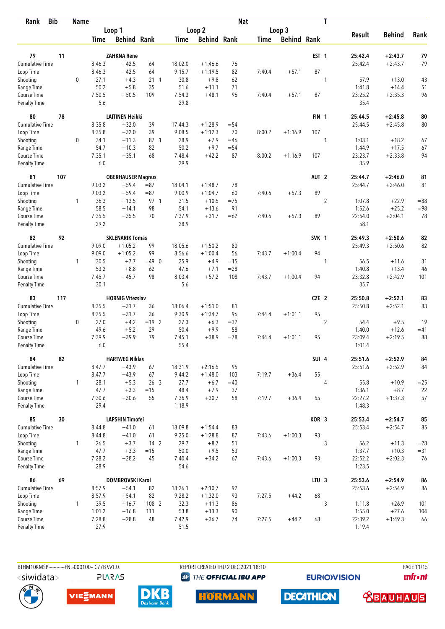| <b>Bib</b><br>Rank          |     | <b>Name</b>  |                |                          |                 |                  |                    | <b>Nat</b>      |        |                    |                  | T              |                   |                      |          |
|-----------------------------|-----|--------------|----------------|--------------------------|-----------------|------------------|--------------------|-----------------|--------|--------------------|------------------|----------------|-------------------|----------------------|----------|
|                             |     |              |                | Loop 1                   |                 |                  | Loop 2             |                 |        | Loop 3             |                  |                |                   |                      |          |
|                             |     |              | Time           | <b>Behind Rank</b>       |                 | Time             | <b>Behind Rank</b> |                 | Time   | <b>Behind Rank</b> |                  |                | <b>Result</b>     | <b>Behind</b>        | Rank     |
| 79                          | 11  |              |                | <b>ZAHKNA Rene</b>       |                 |                  |                    |                 |        |                    | EST <sub>1</sub> |                | 25:42.4           | $+2:43.7$            | 79       |
| <b>Cumulative Time</b>      |     |              | 8:46.3         | $+42.5$                  | 64              | 18:02.0          | $+1:46.6$          | 76              |        |                    |                  |                | 25:42.4           | $+2:43.7$            | 79       |
| Loop Time                   |     |              | 8:46.3         | $+42.5$                  | 64              | 9:15.7           | $+1:19.5$          | 82              | 7:40.4 | $+57.1$            | 87               |                |                   |                      |          |
| Shooting                    |     | 0            | 27.1           | $+4.3$                   | $21 \quad 1$    | 30.8             | $+9.8$             | 62              |        |                    |                  | 1              | 57.9              | $+13.0$              | 43       |
| Range Time                  |     |              | 50.2           | $+5.8$                   | 35              | 51.6             | $+11.1$            | 71              |        |                    |                  |                | 1:41.8            | $+14.4$              | 51       |
| Course Time                 |     |              | 7:50.5         | $+50.5$                  | 109             | 7:54.3           | $+48.1$            | 96              | 7:40.4 | $+57.1$            | 87               |                | 23:25.2           | $+2:35.3$            | 96       |
| Penalty Time                |     |              | 5.6            |                          |                 | 29.8             |                    |                 |        |                    |                  |                | 35.4              |                      |          |
| 80                          | 78  |              |                | <b>LAITINEN Heikki</b>   |                 |                  |                    |                 |        |                    | FIN <sub>1</sub> |                | 25:44.5           | $+2:45.8$            | 80       |
| Cumulative Time             |     |              | 8:35.8         | $+32.0$                  | 39              | 17:44.3          | $+1:28.9$          | $= 54$          |        |                    |                  |                | 25:44.5           | $+2:45.8$            | 80       |
| Loop Time                   |     |              | 8:35.8         | $+32.0$                  | 39              | 9:08.5           | $+1:12.3$          | 70              | 8:00.2 | $+1:16.9$          | 107              |                |                   |                      |          |
| Shooting                    |     | 0            | 34.1           | $+11.3$                  | 87 1            | 28.9             | $+7.9$             | $=46$           |        |                    |                  | 1              | 1:03.1            | $+18.2$              | 67       |
| Range Time                  |     |              | 54.7           | $+10.3$                  | 82              | 50.2             | $+9.7$             | $= 54$          |        |                    |                  |                | 1:44.9            | $+17.5$              | 67       |
| Course Time                 |     |              | 7:35.1         | $+35.1$                  | 68              | 7:48.4           | $+42.2$            | 87              | 8:00.2 | $+1:16.9$          | 107              |                | 23:23.7           | $+2:33.8$            | 94       |
| <b>Penalty Time</b>         |     |              | 6.0            |                          |                 | 29.9             |                    |                 |        |                    |                  |                | 35.9              |                      |          |
| 81                          | 107 |              |                | <b>OBERHAUSER Magnus</b> |                 |                  |                    |                 |        |                    | AUT <sub>2</sub> |                | 25:44.7           | $+2:46.0$            | 81       |
| <b>Cumulative Time</b>      |     |              | 9:03.2         | $+59.4$                  | $= 87$          | 18:04.1          | $+1:48.7$          | 78              |        |                    |                  |                | 25:44.7           | $+2:46.0$            | 81       |
| Loop Time                   |     |              | 9:03.2         | $+59.4$                  | $= 87$          | 9:00.9           | $+1:04.7$          | 60              | 7:40.6 | $+57.3$            | 89               |                |                   |                      |          |
| Shooting                    |     | 1            | 36.3           | $+13.5$                  | 97 1            | 31.5             | $+10.5$            | $=75$           |        |                    |                  | $\sqrt{2}$     | 1:07.8            | $+22.9$              | $= 88$   |
| Range Time                  |     |              | 58.5           | $+14.1$                  | 98              | 54.1             | $+13.6$            | 91              |        |                    |                  |                | 1:52.6            | $+25.2$              | $= 98$   |
| Course Time<br>Penalty Time |     |              | 7:35.5<br>29.2 | $+35.5$                  | 70              | 7:37.9<br>28.9   | $+31.7$            | $=62$           | 7:40.6 | $+57.3$            | 89               |                | 22:54.0<br>58.1   | $+2:04.1$            | 78       |
|                             |     |              |                |                          |                 |                  |                    |                 |        |                    |                  |                |                   |                      |          |
| 82                          | 92  |              |                | <b>SKLENARIK Tomas</b>   |                 |                  |                    |                 |        |                    | SVK 1            |                | 25:49.3           | $+2:50.6$            | 82       |
| Cumulative Time             |     |              | 9:09.0         | $+1:05.2$                | 99              | 18:05.6          | $+1:50.2$          | 80              |        |                    |                  |                | 25:49.3           | $+2:50.6$            | 82       |
| Loop Time                   |     |              | 9:09.0         | $+1:05.2$                | 99              | 8:56.6           | $+1:00.4$          | 56              | 7:43.7 | $+1:00.4$          | 94               |                |                   |                      |          |
| Shooting                    |     | 1            | 30.5<br>53.2   | $+7.7$<br>$+8.8$         | $=49$ 0<br>62   | 25.9<br>47.6     | $+4.9$<br>$+7.1$   | $=15$<br>$= 28$ |        |                    |                  | 1              | 56.5<br>1:40.8    | $+11.6$<br>$+13.4$   | 31<br>46 |
| Range Time<br>Course Time   |     |              | 7:45.7         | $+45.7$                  | 98              | 8:03.4           | $+57.2$            | 108             | 7:43.7 | $+1:00.4$          | 94               |                | 23:32.8           | $+2:42.9$            | 101      |
| <b>Penalty Time</b>         |     |              | 30.1           |                          |                 | 5.6              |                    |                 |        |                    |                  |                | 35.7              |                      |          |
| 83                          | 117 |              |                | <b>HORNIG Vitezslav</b>  |                 |                  |                    |                 |        |                    | CZE 2            |                | 25:50.8           | $+2:52.1$            | 83       |
| Cumulative Time             |     |              | 8:35.5         | $+31.7$                  | 36              | 18:06.4          | $+1:51.0$          | 81              |        |                    |                  |                | 25:50.8           | $+2:52.1$            | 83       |
| Loop Time                   |     |              | 8:35.5         | $+31.7$                  | 36              | 9:30.9           | $+1:34.7$          | 96              | 7:44.4 | $+1:01.1$          | 95               |                |                   |                      |          |
| Shooting                    |     | $\mathbf 0$  | 27.0           | $+4.2$                   | $= 19$ 2        | 27.3             | $+6.3$             | $=32$           |        |                    |                  | $\overline{2}$ | 54.4              | $+9.5$               | 19       |
| Range Time                  |     |              | 49.6           | $+5.2$                   | 29              | 50.4             | $+9.9$             | 58              |        |                    |                  |                | 1:40.0            | $+12.6$              | $=41$    |
| Course Time                 |     |              | 7:39.9         | $+39.9$                  | 79              | 7:45.1           | $+38.9$            | $=78$           | 7:44.4 | $+1:01.1$          | 95               |                | 23:09.4           | $+2:19.5$            | 88       |
| Penalty Time                |     |              | 6.0            |                          |                 | 55.4             |                    |                 |        |                    |                  |                | 1:01.4            |                      |          |
| 84                          | 82  |              |                | <b>HARTWEG Niklas</b>    |                 |                  |                    |                 |        |                    | SUI 4            |                | 25:51.6           | $+2:52.9$            | 84       |
| Cumulative Time             |     |              | 8:47.7         | $+43.9$                  | 67              | 18:31.9          | $+2:16.5$          | 95              |        |                    |                  |                | 25:51.6           | $+2:52.9$            | 84       |
| Loop Time                   |     |              | 8:47.7         | $+43.9$                  | 67              | 9:44.2           | $+1:48.0$          | 103             | 7:19.7 | $+36.4$            | 55               |                |                   |                      |          |
| Shooting                    |     | $\mathbf{1}$ | 28.1           | $+5.3$                   | 26 <sub>3</sub> | 27.7             | $+6.7$             | $=40$           |        |                    |                  | $\overline{4}$ | 55.8              | $+10.9$              | $=25$    |
| Range Time                  |     |              | 47.7           | $+3.3$                   | $=15$           | 48.4             | $+7.9$             | 37              |        |                    |                  |                | 1:36.1            | $+8.7$               | 22       |
| Course Time<br>Penalty Time |     |              | 7:30.6<br>29.4 | $+30.6$                  | 55              | 7:36.9<br>1:18.9 | $+30.7$            | 58              | 7:19.7 | $+36.4$            | 55               |                | 22:27.2<br>1:48.3 | $+1:37.3$            | 57       |
|                             |     |              |                |                          |                 |                  |                    |                 |        |                    |                  |                |                   |                      |          |
| 85                          | 30  |              |                | <b>LAPSHIN Timofei</b>   |                 |                  |                    |                 |        |                    | KOR 3            |                | 25:53.4           | $+2:54.7$            | 85       |
| <b>Cumulative Time</b>      |     |              | 8:44.8         | $+41.0$                  | 61              | 18:09.8          | $+1:54.4$          | 83              |        |                    | 93               |                | 25:53.4           | $+2:54.7$            | 85       |
| Loop Time                   |     |              | 8:44.8         | $+41.0$                  | 61              | 9:25.0           | $+1:28.8$          | 87              | 7:43.6 | $+1:00.3$          |                  |                |                   |                      |          |
| Shooting                    |     | 1            | 26.5<br>47.7   | $+3.7$                   | $142$<br>$=15$  | 29.7             | $+8.7$             | 51              |        |                    |                  | 3              | 56.2              | $+11.3$              | $= 28$   |
| Range Time<br>Course Time   |     |              | 7:28.2         | $+3.3$<br>$+28.2$        | 45              | 50.0<br>7:40.4   | $+9.5$<br>$+34.2$  | 53<br>67        | 7:43.6 | $+1:00.3$          | 93               |                | 1:37.7<br>22:52.2 | $+10.3$<br>$+2:02.3$ | $= 31$   |
| Penalty Time                |     |              | 28.9           |                          |                 | 54.6             |                    |                 |        |                    |                  |                | 1:23.5            |                      | 76       |
| 86                          | 69  |              |                | DOMBROVSKI Karol         |                 |                  |                    |                 |        |                    | LTU <sub>3</sub> |                | 25:53.6           | $+2:54.9$            | 86       |
| Cumulative Time             |     |              | 8:57.9         | $+54.1$                  | 82              | 18:26.1          | $+2:10.7$          | 92              |        |                    |                  |                | 25:53.6           | $+2:54.9$            | 86       |
| Loop Time                   |     |              | 8:57.9         | $+54.1$                  | 82              | 9:28.2           | $+1:32.0$          | 93              | 7:27.5 | $+44.2$            | 68               |                |                   |                      |          |
| Shooting                    |     | $\mathbf{1}$ | 39.5           | $+16.7$                  | 108 2           | 32.3             | $+11.3$            | 86              |        |                    |                  | 3              | 1:11.8            | $+26.9$              | 101      |
| Range Time                  |     |              | 1:01.2         | $+16.8$                  | 111             | 53.8             | $+13.3$            | 90              |        |                    |                  |                | 1:55.0            | $+27.6$              | 104      |
| Course Time                 |     |              | 7:28.8         | $+28.8$                  | 48              | 7:42.9           | $+36.7$            | 74              | 7:27.5 | $+44.2$            | 68               |                | 22:39.2           | $+1:49.3$            | 66       |
| <b>Penalty Time</b>         |     |              | 27.9           |                          |                 | 51.5             |                    |                 |        |                    |                  |                | 1:19.4            |                      |          |

BTHM10KMSP------------FNL-000100-- C77B Vv1.0. **PLARAS**  REPORT CREATED THU 2 DEC 2021 18:10 **<sup><sup>3</sup>** THE OFFICIAL IBU APP</sup>

**EURIOVISION** 

PAGE 11/15 **unfront** 







**HORMANN** 



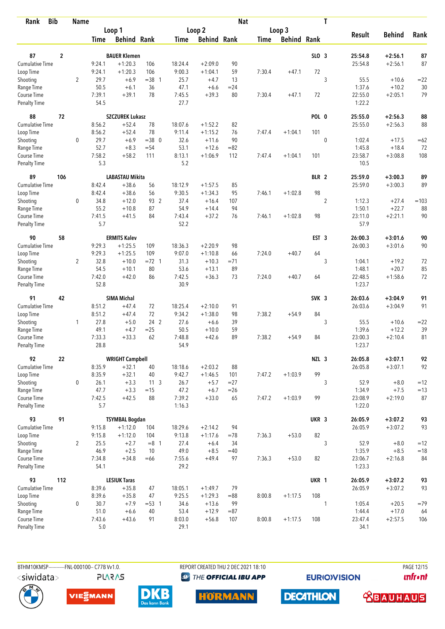| <b>Bib</b><br>Rank        |                | <b>Name</b>    |                |                        |                |                |                    | <b>Nat</b> |             |                    |                  | T           |                   |               |        |
|---------------------------|----------------|----------------|----------------|------------------------|----------------|----------------|--------------------|------------|-------------|--------------------|------------------|-------------|-------------------|---------------|--------|
|                           |                |                |                | Loop 1                 |                |                | Loop 2             |            |             | Loop 3             |                  |             |                   |               |        |
|                           |                |                | <b>Time</b>    | <b>Behind Rank</b>     |                | <b>Time</b>    | <b>Behind Rank</b> |            | <b>Time</b> | <b>Behind Rank</b> |                  |             | <b>Result</b>     | <b>Behind</b> | Rank   |
| 87                        | $\overline{2}$ |                |                | <b>BAUER Klemen</b>    |                |                |                    |            |             |                    | SLO 3            |             | 25:54.8           | $+2:56.1$     | 87     |
| <b>Cumulative Time</b>    |                |                | 9:24.1         | $+1:20.3$              | 106            | 18:24.4        | $+2:09.0$          | 90         |             |                    |                  |             | 25:54.8           | $+2:56.1$     | 87     |
| Loop Time                 |                |                | 9:24.1         | $+1:20.3$              | 106            | 9:00.3         | $+1:04.1$          | 59         | 7:30.4      | $+47.1$            | 72               |             |                   |               |        |
| Shooting                  |                | $\overline{2}$ | 29.7           | $+6.9$                 | $=38$ 1        | 25.7           | $+4.7$             | 13         |             |                    |                  | 3           | 55.5              | $+10.6$       | $= 22$ |
| Range Time                |                |                | 50.5           | $+6.1$                 | 36             | 47.1           | $+6.6$             | $= 24$     |             |                    |                  |             | 1:37.6            | $+10.2$       | 30     |
| Course Time               |                |                | 7:39.1         | $+39.1$                | 78             | 7:45.5         | $+39.3$            | 80         | 7:30.4      | $+47.1$            | 72               |             | 22:55.0           | $+2:05.1$     | 79     |
| <b>Penalty Time</b>       |                |                | 54.5           |                        |                | 27.7           |                    |            |             |                    |                  |             | 1:22.2            |               |        |
| 88                        | 72             |                |                | <b>SZCZUREK Lukasz</b> |                |                |                    |            |             |                    | POL 0            |             | 25:55.0           | $+2:56.3$     | 88     |
| <b>Cumulative Time</b>    |                |                | 8:56.2         | $+52.4$                | 78             | 18:07.6        | $+1:52.2$          | 82         |             |                    |                  |             | 25:55.0           | $+2:56.3$     | 88     |
| Loop Time                 |                |                | 8:56.2         | $+52.4$                | 78             | 9:11.4         | $+1:15.2$          | 76         | 7:47.4      | $+1:04.1$          | 101              |             |                   |               |        |
| Shooting                  |                | 0              | 29.7           | $+6.9$                 | $= 38$ 0       | 32.6           | $+11.6$            | 90         |             |                    |                  | $\mathbf 0$ | 1:02.4            | $+17.5$       | $=62$  |
| Range Time                |                |                | 52.7           | $+8.3$                 | $= 54$         | 53.1           | $+12.6$            | $= 82$     |             |                    |                  |             | 1:45.8            | $+18.4$       | 72     |
| Course Time               |                |                | 7:58.2         | $+58.2$                | 111            | 8:13.1         | $+1:06.9$          | 112        | 7:47.4      | $+1:04.1$          | 101              |             | 23:58.7           | $+3:08.8$     | 108    |
| <b>Penalty Time</b>       |                |                | 5.3            |                        |                | 5.2            |                    |            |             |                    |                  |             | 10.5              |               |        |
| 89                        | 106            |                |                | <b>LABASTAU Mikita</b> |                |                |                    |            |             |                    | BLR 2            |             | 25:59.0           | $+3:00.3$     | 89     |
| <b>Cumulative Time</b>    |                |                | 8:42.4         | $+38.6$                | 56             | 18:12.9        | $+1:57.5$          | 85         |             |                    |                  |             | 25:59.0           | $+3:00.3$     | 89     |
| Loop Time                 |                |                | 8:42.4         | $+38.6$                | 56             | 9:30.5         | $+1:34.3$          | 95         | 7:46.1      | $+1:02.8$          | 98               |             |                   |               |        |
| Shooting                  |                | 0              | 34.8           | $+12.0$                | 93 2           | 37.4           | $+16.4$            | 107        |             |                    |                  | $\sqrt{2}$  | 1:12.3            | $+27.4$       | $=103$ |
| Range Time                |                |                | 55.2           | $+10.8$                | 87             | 54.9           | $+14.4$            | 94         |             |                    |                  |             | 1:50.1            | $+22.7$       | 88     |
| Course Time               |                |                | 7:41.5         | $+41.5$                | 84             | 7:43.4         | $+37.2$            | 76         | 7:46.1      | $+1:02.8$          | 98               |             | 23:11.0           | $+2:21.1$     | 90     |
| <b>Penalty Time</b>       |                |                | 5.7            |                        |                | 52.2           |                    |            |             |                    |                  |             | 57.9              |               |        |
| 90                        | 58             |                |                | <b>ERMITS Kalev</b>    |                |                |                    |            |             |                    | EST <sub>3</sub> |             | 26:00.3           | $+3:01.6$     | 90     |
| <b>Cumulative Time</b>    |                |                | 9:29.3         | $+1:25.5$              | 109            | 18:36.3        | $+2:20.9$          | 98         |             |                    |                  |             | 26:00.3           | $+3:01.6$     | 90     |
| Loop Time                 |                |                | 9:29.3         | $+1:25.5$              | 109            | 9:07.0         | $+1:10.8$          | 66         | 7:24.0      | $+40.7$            | 64               |             |                   |               |        |
| Shooting                  |                | $\overline{2}$ | 32.8           | $+10.0$                | $= 72 \quad 1$ | 31.3           | $+10.3$            | $= 71$     |             |                    |                  | 3           | 1:04.1            | $+19.2$       | 72     |
| Range Time                |                |                | 54.5           | $+10.1$                | 80             | 53.6           | $+13.1$            | 89         |             |                    |                  |             | 1:48.1            | $+20.7$       | 85     |
| Course Time               |                |                | 7:42.0         | $+42.0$                | 86             | 7:42.5         | $+36.3$            | 73         | 7:24.0      | $+40.7$            | 64               |             | 22:48.5           | $+1:58.6$     | 72     |
| <b>Penalty Time</b>       |                |                | 52.8           |                        |                | 30.9           |                    |            |             |                    |                  |             | 1:23.7            |               |        |
| 91                        | 42             |                |                | <b>SIMA Michal</b>     |                |                |                    |            |             |                    | SVK <sub>3</sub> |             | 26:03.6           | $+3:04.9$     | 91     |
| <b>Cumulative Time</b>    |                |                | 8:51.2         | $+47.4$                | 72             | 18:25.4        | $+2:10.0$          | 91         |             |                    |                  |             | 26:03.6           | $+3:04.9$     | 91     |
| Loop Time                 |                |                | 8:51.2         | $+47.4$                | 72             | 9:34.2         | $+1:38.0$          | 98         | 7:38.2      | $+54.9$            | 84               |             |                   |               |        |
| Shooting                  |                | 1              | 27.8           | $+5.0$                 | 24 2           | 27.6           | $+6.6$             | 39         |             |                    |                  | 3           | 55.5              | $+10.6$       | $= 22$ |
| Range Time                |                |                | 49.1           | $+4.7$                 | $= 25$         | 50.5           | $+10.0$            | 59         |             |                    |                  |             | 1:39.6            | $+12.2$       | 39     |
| Course Time               |                |                | 7:33.3         | $+33.3$                | 62             | 7:48.8         | $+42.6$            | 89         | 7:38.2      | $+54.9$            | 84               |             | 23:00.3           | $+2:10.4$     | 81     |
| <b>Penalty Time</b>       |                |                | 28.8           |                        |                | 54.9           |                    |            |             |                    |                  |             | 1:23.7            |               |        |
| 92                        | 22             |                |                | <b>WRIGHT Campbell</b> |                |                |                    |            |             |                    | NZL 3            |             | 26:05.8           | $+3:07.1$     | 92     |
| Cumulative Time           |                |                | 8:35.9         | $+32.1$                | 40             | 18:18.6        | $+2:03.2$          | 88         |             |                    |                  |             | 26:05.8           | $+3:07.1$     | 92     |
| Loop Time                 |                |                | 8:35.9         | $+32.1$                | 40             | 9:42.7         | $+1:46.5$          | 101        | 7:47.2      | $+1:03.9$          | 99               |             |                   |               |        |
| Shooting                  |                | $\mathbf 0$    | 26.1           | $+3.3$                 | $11 \quad 3$   | 26.7           | $+5.7$             | $= 27$     |             |                    |                  | 3           | 52.9              | $+8.0$        | $=12$  |
| Range Time<br>Course Time |                |                | 47.7<br>7:42.5 | $+3.3$<br>$+42.5$      | $=15$<br>88    | 47.2<br>7:39.2 | $+6.7$             | $=26$      |             | $+1:03.9$          | 99               |             | 1:34.9<br>23:08.9 | $+7.5$        | $=13$  |
| Penalty Time              |                |                | 5.7            |                        |                | 1:16.3         | $+33.0$            | 65         | 7:47.2      |                    |                  |             | 1:22.0            | $+2:19.0$     | 87     |
| 93                        | 91             |                |                | <b>TSYMBAL Bogdan</b>  |                |                |                    |            |             |                    | UKR 3            |             | 26:05.9           | $+3:07.2$     | 93     |
| Cumulative Time           |                |                | 9:15.8         | $+1:12.0$              | 104            | 18:29.6        | $+2:14.2$          | 94         |             |                    |                  |             | 26:05.9           | $+3:07.2$     | 93     |
| Loop Time                 |                |                | 9:15.8         | $+1:12.0$              | 104            | 9:13.8         | $+1:17.6$          | $=78$      | 7:36.3      | $+53.0$            | 82               |             |                   |               |        |
| Shooting                  |                | $\overline{2}$ | 25.5           | $+2.7$                 | $=8$ 1         | 27.4           | $+6.4$             | 34         |             |                    |                  | 3           | 52.9              | $+8.0$        | $=12$  |
| Range Time                |                |                | 46.9           | $+2.5$                 | 10             | 49.0           | $+8.5$             | $=40$      |             |                    |                  |             | 1:35.9            | $+8.5$        | $=18$  |
| Course Time               |                |                | 7:34.8         | $+34.8$                | $=66$          | 7:55.6         | $+49.4$            | 97         | 7:36.3      | $+53.0$            | 82               |             | 23:06.7           | $+2:16.8$     | 84     |
| Penalty Time              |                |                | 54.1           |                        |                | 29.2           |                    |            |             |                    |                  |             | 1:23.3            |               |        |
| 93                        | 112            |                |                | <b>LESIUK Taras</b>    |                |                |                    |            |             |                    | UKR 1            |             | 26:05.9           | $+3:07.2$     | 93     |
| Cumulative Time           |                |                | 8:39.6         | $+35.8$                | 47             | 18:05.1        | $+1:49.7$          | 79         |             |                    |                  |             | 26:05.9           | $+3:07.2$     | 93     |
| Loop Time                 |                |                | 8:39.6         | $+35.8$                | 47             | 9:25.5         | $+1:29.3$          | $= 88$     | 8:00.8      | $+1:17.5$          | 108              |             |                   |               |        |
| Shooting                  |                | 0              | 30.7           | $+7.9$                 | $= 53 \quad 1$ | 34.6           | $+13.6$            | 99         |             |                    |                  | 1           | 1:05.4            | $+20.5$       | $=79$  |
| Range Time                |                |                | 51.0           | $+6.6$                 | 40             | 53.4           | $+12.9$            | $= 87$     |             |                    |                  |             | 1:44.4            | $+17.0$       | 64     |
| Course Time               |                |                | 7:43.6         | $+43.6$                | 91             | 8:03.0         | $+56.8$            | 107        | 8:00.8      | $+1:17.5$          | 108              |             | 23:47.4           | $+2:57.5$     | 106    |
| <b>Penalty Time</b>       |                |                | 5.0            |                        |                | 29.1           |                    |            |             |                    |                  |             | 34.1              |               |        |

**PLARAS** 

BTHM10KMSP-----------FNL-000100-- C77B Vv1.0. REPORT CREATED THU 2 DEC 2021 18:10 **<sup><sup>3</sup>** THE OFFICIAL IBU APP</sup>

**EURIOVISION** 

**unfront** 









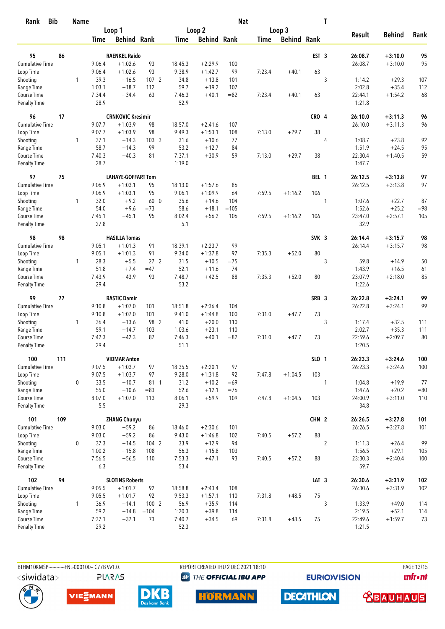| Rank                               | <b>Bib</b> | <b>Name</b>  |                |                           |                  |                |                      | <b>Nat</b> |             |                    |                  | T              |                   |                      |            |
|------------------------------------|------------|--------------|----------------|---------------------------|------------------|----------------|----------------------|------------|-------------|--------------------|------------------|----------------|-------------------|----------------------|------------|
|                                    |            |              |                | Loop 1                    |                  |                | Loop 2               |            |             | Loop 3             |                  |                |                   |                      |            |
|                                    |            |              | Time           | <b>Behind Rank</b>        |                  | Time           | <b>Behind Rank</b>   |            | <b>Time</b> | <b>Behind Rank</b> |                  |                | <b>Result</b>     | <b>Behind</b>        | Rank       |
|                                    |            |              |                |                           |                  |                |                      |            |             |                    |                  |                |                   |                      |            |
| 95                                 | 86         |              |                | <b>RAENKEL Raido</b>      |                  |                |                      |            |             |                    | EST <sub>3</sub> |                | 26:08.7           | $+3:10.0$            | 95         |
| Cumulative Time                    |            |              | 9:06.4         | $+1:02.6$                 | 93               | 18:45.3        | $+2:29.9$            | 100        |             |                    |                  |                | 26:08.7           | $+3:10.0$            | 95         |
| Loop Time                          |            |              | 9:06.4         | $+1:02.6$                 | 93               | 9:38.9         | $+1:42.7$            | 99         | 7:23.4      | $+40.1$            | 63               |                |                   |                      |            |
| Shooting                           |            | 1            | 39.3           | $+16.5$                   | 1072             | 34.8           | $+13.8$              | 101        |             |                    |                  | 3              | 1:14.2            | $+29.3$              | 107        |
| Range Time                         |            |              | 1:03.1         | $+18.7$                   | 112              | 59.7           | $+19.2$              | 107        |             |                    |                  |                | 2:02.8            | $+35.4$              | 112        |
| Course Time<br><b>Penalty Time</b> |            |              | 7:34.4<br>28.9 | $+34.4$                   | 63               | 7:46.3<br>52.9 | $+40.1$              | $= 82$     | 7:23.4      | $+40.1$            | 63               |                | 22:44.1<br>1:21.8 | $+1:54.2$            | 68         |
| 96                                 | 17         |              |                | <b>CRNKOVIC Kresimir</b>  |                  |                |                      |            |             |                    | CRO 4            |                | 26:10.0           | $+3:11.3$            | 96         |
| <b>Cumulative Time</b>             |            |              | 9:07.7         | $+1:03.9$                 | 98               | 18:57.0        | $+2:41.6$            | 107        |             |                    |                  |                | 26:10.0           | $+3:11.3$            | 96         |
| Loop Time                          |            |              | 9:07.7         | $+1:03.9$                 | 98               | 9:49.3         | $+1:53.1$            | 108        | 7:13.0      | $+29.7$            | 38               |                |                   |                      |            |
| Shooting                           |            | 1            | 37.1           | $+14.3$                   | 103 <sub>3</sub> | 31.6           | $+10.6$              | 77         |             |                    |                  | 4              | 1:08.7            | $+23.8$              | 92         |
| Range Time                         |            |              | 58.7           | $+14.3$                   | 99               | 53.2           | $+12.7$              | 84         |             |                    |                  |                | 1:51.9            | $+24.5$              | 95         |
| Course Time                        |            |              | 7:40.3         | $+40.3$                   | 81               | 7:37.1         | $+30.9$              | 59         | 7:13.0      | $+29.7$            | 38               |                | 22:30.4           | $+1:40.5$            | 59         |
| Penalty Time                       |            |              | 28.7           |                           |                  | 1:19.0         |                      |            |             |                    |                  |                | 1:47.7            |                      |            |
| 97                                 | 75         |              |                | <b>LAHAYE-GOFFART Tom</b> |                  |                |                      |            |             |                    | BEL 1            |                | 26:12.5           | $+3:13.8$            | 97         |
| <b>Cumulative Time</b>             |            |              | 9:06.9         | $+1:03.1$                 | 95               | 18:13.0        | $+1:57.6$            | 86         |             |                    |                  |                | 26:12.5           | $+3:13.8$            | 97         |
| Loop Time                          |            |              | 9:06.9         | $+1:03.1$                 | 95               | 9:06.1         | $+1:09.9$            | 64         | 7:59.5      | $+1:16.2$          | 106              |                |                   |                      |            |
| Shooting                           |            | 1            | 32.0           | $+9.2$                    | 60 0             | 35.6           | $+14.6$              | 104        |             |                    |                  | 1              | 1:07.6            | $+22.7$              | 87         |
| Range Time                         |            |              | 54.0           | $+9.6$                    | $=73$            | 58.6           | $+18.1$              | $=105$     |             |                    |                  |                | 1:52.6            | $+25.2$              | $= 98$     |
| Course Time                        |            |              | 7:45.1         | $+45.1$                   | 95               | 8:02.4         | $+56.2$              | 106        | 7:59.5      | $+1:16.2$          | 106              |                | 23:47.0           | $+2:57.1$            | 105        |
| <b>Penalty Time</b>                |            |              | 27.8           |                           |                  | 5.1            |                      |            |             |                    |                  |                | 32.9              |                      |            |
| 98                                 | 98         |              |                | <b>HASILLA Tomas</b>      |                  |                |                      |            |             |                    | SVK <sub>3</sub> |                | 26:14.4           | $+3:15.7$            | 98         |
| Cumulative Time                    |            |              | 9:05.1         | $+1:01.3$                 | 91               | 18:39.1        | $+2:23.7$            | 99         |             |                    |                  |                | 26:14.4           | $+3:15.7$            | 98         |
| Loop Time                          |            |              | 9:05.1         | $+1:01.3$                 | 91               | 9:34.0         | $+1:37.8$            | 97         | 7:35.3      | $+52.0$            | 80               |                |                   |                      |            |
| Shooting                           |            | $\mathbf{1}$ | 28.3           | $+5.5$                    | 27 <sub>2</sub>  | 31.5           | $+10.5$              | $=75$      |             |                    |                  | 3              | 59.8              | $+14.9$              | 50         |
| Range Time                         |            |              | 51.8           | $+7.4$                    | $=47$            | 52.1           | $+11.6$              | 74         |             |                    |                  |                | 1:43.9            | $+16.5$              | 61         |
| Course Time                        |            |              | 7:43.9         | $+43.9$                   | 93               | 7:48.7         | $+42.5$              | 88         | 7:35.3      | $+52.0$            | 80               |                | 23:07.9           | $+2:18.0$            | 85         |
| <b>Penalty Time</b>                |            |              | 29.4           |                           |                  | 53.2           |                      |            |             |                    |                  |                | 1:22.6            |                      |            |
| 99                                 | 77         |              |                | <b>RASTIC Damir</b>       |                  |                |                      |            |             |                    | SRB <sub>3</sub> |                | 26:22.8           | $+3:24.1$            | 99         |
| <b>Cumulative Time</b>             |            |              | 9:10.8         | $+1:07.0$                 | 101              | 18:51.8        | $+2:36.4$            | 104        |             |                    |                  |                | 26:22.8           | $+3:24.1$            | 99         |
| Loop Time                          |            |              | 9:10.8         | $+1:07.0$                 | 101              | 9:41.0         | $+1:44.8$            | 100        | 7:31.0      | $+47.7$            | 73               |                |                   |                      |            |
| Shooting                           |            | 1            | 36.4           | $+13.6$                   | 98 2             | 41.0           | $+20.0$              | 110        |             |                    |                  | 3              | 1:17.4            | $+32.5$              | 111        |
| Range Time                         |            |              | 59.1           | $+14.7$                   | 103              | 1:03.6         | $+23.1$              | 110        |             |                    |                  |                | 2:02.7            | $+35.3$              | 111        |
| Course Time                        |            |              | 7:42.3         | $+42.3$                   | 87               | 7:46.3         | $+40.1$              | $= 82$     | 7:31.0      | $+47.7$            | 73               |                | 22:59.6           | $+2:09.7$            | 80         |
| <b>Penalty Time</b>                |            |              | 29.4           |                           |                  | 51.1           |                      |            |             |                    |                  |                | 1:20.5            |                      |            |
| 100                                | 111        |              |                | <b>VIDMAR Anton</b>       |                  |                |                      |            |             |                    | SLO 1            |                | 26:23.3           | $+3:24.6$            | 100        |
| Cumulative Time                    |            |              | 9:07.5         | $+1:03.7$                 | 97               | 18:35.5        | $+2:20.1$            | 97         |             |                    |                  |                | 26:23.3           | $+3:24.6$            | 100        |
| Loop Time                          |            |              | 9:07.5         | $+1:03.7$                 | 97               | 9:28.0         | $+1:31.8$            | 92         | 7:47.8      | $+1:04.5$          | 103              |                |                   |                      |            |
| Shooting                           |            | $\mathbf 0$  | 33.5           | $+10.7$                   | 81 1             | 31.2           | $+10.2$              | $=69$      |             |                    |                  | 1              | 1:04.8            | $+19.9$              | 77         |
| Range Time                         |            |              | 55.0           | $+10.6$                   | $= 83$           | 52.6           | $+12.1$              | $=76$      |             |                    |                  |                | 1:47.6            | $+20.2$              | $=80$      |
| Course Time<br><b>Penalty Time</b> |            |              | 8:07.0<br>5.5  | $+1:07.0$                 | 113              | 8:06.1<br>29.3 | $+59.9$              | 109        | 7:47.8      | $+1:04.5$          | 103              |                | 24:00.9<br>34.8   | $+3:11.0$            | 110        |
| 101                                | 109        |              |                | <b>ZHANG Chunyu</b>       |                  |                |                      |            |             |                    | CHN 2            |                | 26:26.5           | $+3:27.8$            | 101        |
| Cumulative Time                    |            |              | 9:03.0         | $+59.2$                   | 86               | 18:46.0        | $+2:30.6$            | 101        |             |                    |                  |                | 26:26.5           | $+3:27.8$            | 101        |
|                                    |            |              |                |                           |                  |                |                      |            |             |                    | 88               |                |                   |                      |            |
| Loop Time<br>Shooting              |            |              | 9:03.0<br>37.3 | $+59.2$<br>$+14.5$        | 86<br>104 2      | 9:43.0<br>33.9 | $+1:46.8$<br>$+12.9$ | 102<br>94  | 7:40.5      | $+57.2$            |                  |                |                   |                      |            |
|                                    |            | 0            | 1:00.2         |                           | 108              |                |                      |            |             |                    |                  | $\overline{2}$ | 1:11.3            | $+26.4$              | 99         |
| Range Time<br>Course Time          |            |              | 7:56.5         | $+15.8$<br>$+56.5$        | 110              | 56.3<br>7:53.3 | $+15.8$<br>$+47.1$   | 103<br>93  | 7:40.5      | $+57.2$            | 88               |                | 1:56.5<br>23:30.3 | $+29.1$<br>$+2:40.4$ | 105<br>100 |
| <b>Penalty Time</b>                |            |              | 6.3            |                           |                  | 53.4           |                      |            |             |                    |                  |                | 59.7              |                      |            |
| 102                                | 94         |              |                | <b>SLOTINS Roberts</b>    |                  |                |                      |            |             |                    | LAT <sub>3</sub> |                | 26:30.6           | $+3:31.9$            | 102        |
| Cumulative Time                    |            |              | 9:05.5         | $+1:01.7$                 | 92               | 18:58.8        | $+2:43.4$            | 108        |             |                    |                  |                | 26:30.6           | $+3:31.9$            | 102        |
| Loop Time                          |            |              | 9:05.5         | $+1:01.7$                 | 92               | 9:53.3         | $+1:57.1$            | 110        | 7:31.8      | $+48.5$            | 75               |                |                   |                      |            |
| Shooting                           |            | $\mathbf{1}$ | 36.9           | $+14.1$                   | 100 2            | 56.9           | $+35.9$              | 114        |             |                    |                  | 3              | 1:33.9            | $+49.0$              | 114        |
| Range Time                         |            |              | 59.2           | $+14.8$                   | $=104$           | 1:20.3         | $+39.8$              | 114        |             |                    |                  |                | 2:19.5            | $+52.1$              | 114        |
| Course Time                        |            |              | 7:37.1         | $+37.1$                   | 73               | 7:40.7         | $+34.5$              | 69         | 7:31.8      | $+48.5$            | 75               |                | 22:49.6           | $+1:59.7$            | 73         |
| <b>Penalty Time</b>                |            |              | 29.2           |                           |                  | 52.3           |                      |            |             |                    |                  |                | 1:21.5            |                      |            |

**PLARAS** 

BTHM10KMSP-----------FNL-000100-- C77B Vv1.0. REPORT CREATED THU 2 DEC 2021 18:10 PAGE 13/15 **<sup><sup>3</sup>** THE OFFICIAL IBU APP</sup>

**EURIOVISION** 

**unfront** 



VIESMANN





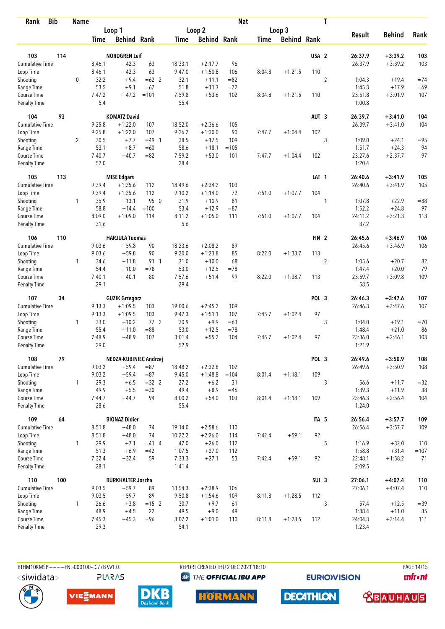| <b>Bib</b><br>Rank                 |     | <b>Name</b>  |                |                          |             |                |                    | <b>Nat</b>  |             |                    |                  | T              |                   |                      |          |
|------------------------------------|-----|--------------|----------------|--------------------------|-------------|----------------|--------------------|-------------|-------------|--------------------|------------------|----------------|-------------------|----------------------|----------|
|                                    |     |              |                | Loop 1                   |             |                | Loop 2             |             |             | Loop 3             |                  |                |                   |                      |          |
|                                    |     |              | Time           | <b>Behind Rank</b>       |             | Time           | <b>Behind Rank</b> |             | <b>Time</b> | <b>Behind Rank</b> |                  |                | <b>Result</b>     | <b>Behind</b>        | Rank     |
| 103                                | 114 |              |                | <b>NORDGREN Leif</b>     |             |                |                    |             |             |                    | USA <sub>2</sub> |                | 26:37.9           | $+3:39.2$            | 103      |
| <b>Cumulative Time</b>             |     |              | 8:46.1         | $+42.3$                  | 63          | 18:33.1        | $+2:17.7$          | 96          |             |                    |                  |                | 26:37.9           | $+3:39.2$            | 103      |
| Loop Time                          |     |              | 8:46.1         | $+42.3$                  | 63          | 9:47.0         | $+1:50.8$          | 106         | 8:04.8      | $+1:21.5$          | 110              |                |                   |                      |          |
|                                    |     | 0            | 32.2           | $+9.4$                   | $=62$ 2     | 32.1           | $+11.1$            | $= 82$      |             |                    |                  |                |                   |                      | $=74$    |
| Shooting<br>Range Time             |     |              | 53.5           | $+9.1$                   | $=67$       | 51.8           | $+11.3$            | $=72$       |             |                    |                  | $\sqrt{2}$     | 1:04.3<br>1:45.3  | $+19.4$<br>$+17.9$   | $=69$    |
| Course Time                        |     |              | 7:47.2         | $+47.2$                  | $=101$      | 7:59.8         | $+53.6$            | 102         | 8:04.8      | $+1:21.5$          | 110              |                | 23:51.8           | $+3:01.9$            | 107      |
| Penalty Time                       |     |              | 5.4            |                          |             | 55.4           |                    |             |             |                    |                  |                | 1:00.8            |                      |          |
| 104                                | 93  |              |                | <b>KOMATZ David</b>      |             |                |                    |             |             |                    | AUT <sub>3</sub> |                | 26:39.7           | $+3:41.0$            | 104      |
| Cumulative Time                    |     |              | 9:25.8         | $+1:22.0$                | 107         | 18:52.0        | $+2:36.6$          | 105         |             |                    |                  |                | 26:39.7           | $+3:41.0$            | 104      |
| Loop Time                          |     |              | 9:25.8         | $+1:22.0$                | 107         | 9:26.2         | $+1:30.0$          | 90          | 7:47.7      | $+1:04.4$          | 102              |                |                   |                      |          |
| Shooting                           |     | 2            | 30.5           | $+7.7$                   | $=49$ 1     | 38.5           | $+17.5$            | 109         |             |                    |                  | 3              | 1:09.0            | $+24.1$              | $= 95$   |
| Range Time                         |     |              | 53.1           | $+8.7$                   | $=60$       | 58.6           | $+18.1$            | $=105$      |             |                    |                  |                | 1:51.7            | $+24.3$              | 94       |
| Course Time                        |     |              | 7:40.7         | $+40.7$                  | $= 82$      | 7:59.2         | $+53.0$            | 101         | 7:47.7      | $+1:04.4$          | 102              |                | 23:27.6           | $+2:37.7$            | 97       |
| Penalty Time                       |     |              | 52.0           |                          |             | 28.4           |                    |             |             |                    |                  |                | 1:20.4            |                      |          |
| 105                                | 113 |              |                | <b>MISE Edgars</b>       |             |                |                    |             |             |                    | LAT <sub>1</sub> |                | 26:40.6           | $+3:41.9$            | 105      |
| <b>Cumulative Time</b>             |     |              | 9:39.4         | $+1:35.6$                | 112         | 18:49.6        | $+2:34.2$          | 103         |             |                    |                  |                | 26:40.6           | $+3:41.9$            | 105      |
| Loop Time                          |     |              | 9:39.4         | $+1:35.6$                | 112         | 9:10.2         | $+1:14.0$          | 72          | 7:51.0      | $+1:07.7$          | 104              |                |                   |                      |          |
| Shooting                           |     | 1            | 35.9           | $+13.1$                  | 95 0        | 31.9           | $+10.9$            | 81          |             |                    |                  | 1              | 1:07.8            | $+22.9$              | $= 88$   |
| Range Time                         |     |              | 58.8           | $+14.4$                  | $=100$      | 53.4           | $+12.9$            | $= 87$      |             |                    |                  |                | 1:52.2            | $+24.8$              | 97       |
| Course Time<br>Penalty Time        |     |              | 8:09.0<br>31.6 | $+1:09.0$                | 114         | 8:11.2<br>5.6  | $+1:05.0$          | 111         | 7:51.0      | $+1:07.7$          | 104              |                | 24:11.2<br>37.2   | $+3:21.3$            | 113      |
|                                    |     |              |                |                          |             |                |                    |             |             |                    |                  |                |                   |                      |          |
| 106                                | 110 |              |                | <b>HARJULA Tuomas</b>    |             |                |                    |             |             |                    | FIN <sub>2</sub> |                | 26:45.6           | $+3:46.9$            | 106      |
| Cumulative Time                    |     |              | 9:03.6         | $+59.8$                  | 90          | 18:23.6        | $+2:08.2$          | 89          |             |                    |                  |                | 26:45.6           | $+3:46.9$            | 106      |
| Loop Time                          |     |              | 9:03.6         | $+59.8$                  | 90          | 9:20.0         | $+1:23.8$          | 85          | 8:22.0      | $+1:38.7$          | 113              |                |                   |                      |          |
| Shooting                           |     | 1            | 34.6<br>54.4   | $+11.8$                  | 91 1        | 31.0<br>53.0   | $+10.0$            | 68          |             |                    |                  | $\overline{2}$ | 1:05.6            | $+20.7$              | 82<br>79 |
| Range Time                         |     |              |                | $+10.0$                  | $=78$<br>80 | 7:57.6         | $+12.5$            | $=78$<br>99 |             |                    | 113              |                | 1:47.4<br>23:59.7 | $+20.0$<br>$+3:09.8$ | 109      |
| Course Time<br><b>Penalty Time</b> |     |              | 7:40.1<br>29.1 | $+40.1$                  |             | 29.4           | $+51.4$            |             | 8:22.0      | $+1:38.7$          |                  |                | 58.5              |                      |          |
| 107                                | 34  |              |                | <b>GUZIK Grzegorz</b>    |             |                |                    |             |             |                    | POL 3            |                | 26:46.3           | $+3:47.6$            | 107      |
| <b>Cumulative Time</b>             |     |              | 9:13.3         | $+1:09.5$                | 103         | 19:00.6        | $+2:45.2$          | 109         |             |                    |                  |                | 26:46.3           | $+3:47.6$            | 107      |
| Loop Time                          |     |              | 9:13.3         | $+1:09.5$                | 103         | 9:47.3         | $+1:51.1$          | 107         | 7:45.7      | $+1:02.4$          | 97               |                |                   |                      |          |
| Shooting                           |     | 1            | 33.0           | $+10.2$                  | 772         | 30.9           | $+9.9$             | $=63$       |             |                    |                  | 3              | 1:04.0            | $+19.1$              | $=70$    |
| Range Time                         |     |              | 55.4           | $+11.0$                  | $= 88$      | 53.0           | $+12.5$            | $=78$       |             |                    |                  |                | 1:48.4            | $+21.0$              | 86       |
| Course Time                        |     |              | 7:48.9         | $+48.9$                  | 107         | 8:01.4         | $+55.2$            | 104         | 7:45.7      | $+1:02.4$          | 97               |                | 23:36.0           | $+2:46.1$            | 103      |
| Penalty Time                       |     |              | 29.0           |                          |             | 52.9           |                    |             |             |                    |                  |                | 1:21.9            |                      |          |
| 108                                | 79  |              |                | NEDZA-KUBINIEC Andrzej   |             |                |                    |             |             |                    | POL 3            |                | 26:49.6           | $+3:50.9$            | 108      |
| <b>Cumulative Time</b>             |     |              | 9:03.2         | $+59.4$                  | $= 87$      | 18:48.2        | $+2:32.8$          | 102         |             |                    |                  |                | 26:49.6           | $+3:50.9$            | 108      |
| Loop Time                          |     |              | 9:03.2         | $+59.4$                  | $= 87$      | 9:45.0         | $+1:48.8$          | $=104$      | 8:01.4      | $+1:18.1$          | 109              |                |                   |                      |          |
| Shooting                           |     | $\mathbf{1}$ | 29.3           | $+6.5$                   | $=32$ 2     | 27.2           | $+6.2$             | 31          |             |                    |                  | 3              | 56.6              | $+11.7$              | $=32$    |
| Range Time                         |     |              | 49.9           | $+5.5$                   | $= 30$      | 49.4           | $+8.9$             | $=46$       |             |                    |                  |                | 1:39.3            | $+11.9$              | 38       |
| Course Time<br>Penalty Time        |     |              | 7:44.7<br>28.6 | $+44.7$                  | 94          | 8:00.2<br>55.4 | $+54.0$            | 103         | 8:01.4      | $+1:18.1$          | 109              |                | 23:46.3<br>1:24.0 | $+2:56.4$            | 104      |
| 109                                | 64  |              |                | <b>BIONAZ Didier</b>     |             |                |                    |             |             |                    | ITA <sub>5</sub> |                | 26:56.4           | $+3:57.7$            | 109      |
| Cumulative Time                    |     |              | 8:51.8         | $+48.0$                  | 74          | 19:14.0        | $+2:58.6$          | 110         |             |                    |                  |                | 26:56.4           | $+3:57.7$            | 109      |
| Loop Time                          |     |              | 8:51.8         | $+48.0$                  | 74          | 10:22.2        | $+2:26.0$          | 114         | 7:42.4      | $+59.1$            | 92               |                |                   |                      |          |
| Shooting                           |     | 1            | 29.9           | $+7.1$                   | $=41$ 4     | 47.0           | $+26.0$            | 112         |             |                    |                  | 5              | 1:16.9            | $+32.0$              | 110      |
| Range Time                         |     |              | 51.3           | $+6.9$                   | $=42$       | 1:07.5         | $+27.0$            | 112         |             |                    |                  |                | 1:58.8            | $+31.4$              | $=107$   |
| Course Time                        |     |              | 7:32.4         | $+32.4$                  | 59          | 7:33.3         | $+27.1$            | 53          | 7:42.4      | $+59.1$            | 92               |                | 22:48.1           | $+1:58.2$            | 71       |
| Penalty Time                       |     |              | 28.1           |                          |             | 1:41.4         |                    |             |             |                    |                  |                | 2:09.5            |                      |          |
| 110                                | 100 |              |                | <b>BURKHALTER Joscha</b> |             |                |                    |             |             |                    | SUI <sub>3</sub> |                | 27:06.1           | $+4:07.4$            | 110      |
| Cumulative Time                    |     |              | 9:03.5         | $+59.7$                  | 89          | 18:54.3        | $+2:38.9$          | 106         |             |                    |                  |                | 27:06.1           | $+4:07.4$            | 110      |
| Loop Time                          |     |              | 9:03.5         | $+59.7$                  | 89          | 9:50.8         | $+1:54.6$          | 109         | 8:11.8      | $+1:28.5$          | 112              |                |                   |                      |          |
| Shooting                           |     | 1            | 26.6           | $+3.8$                   | $=15$ 2     | 30.7           | $+9.7$             | 61          |             |                    |                  | 3              | 57.4              | $+12.5$              | $= 39$   |
| Range Time                         |     |              | 48.9           | $+4.5$                   | 22          | 49.5           | $+9.0$             | 49          |             |                    |                  |                | 1:38.4            | $+11.0$              | 35       |
| Course Time                        |     |              | 7:45.3         | $+45.3$                  | $= 96$      | 8:07.2         | $+1:01.0$          | 110         | 8:11.8      | $+1:28.5$          | 112              |                | 24:04.3           | $+3:14.4$            | 111      |
| Penalty Time                       |     |              | 29.3           |                          |             | 54.1           |                    |             |             |                    |                  |                | 1:23.4            |                      |          |

BTHM10KMSP------------FNL-000100-- C77B Vv1.0. **PLARAS**  REPORT CREATED THU 2 DEC 2021 18:10 **<sup><sup>3</sup>** THE OFFICIAL IBU APP</sup>

**HORMANN** 

**EURIOVISION** 

**DECATHLON** 



 **<u>CBAUHAUS</u>**